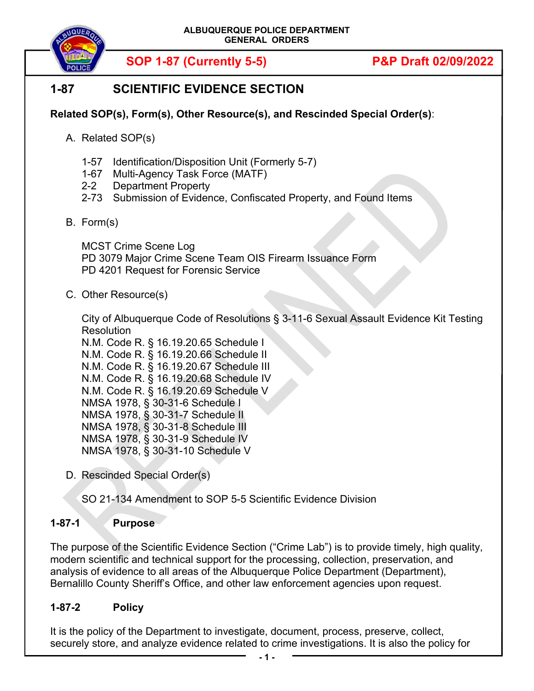

# **1-87 SCIENTIFIC EVIDENCE SECTION**

# **Related SOP(s), Form(s), Other Resource(s), and Rescinded Special Order(s)**:

- A. Related SOP(s)
	- 1-57 Identification/Disposition Unit (Formerly 5-7)
	- 1-67 Multi-Agency Task Force (MATF)
	- 2-2 Department Property
	- 2-73 Submission of Evidence, Confiscated Property, and Found Items
- B. Form(s)

MCST Crime Scene Log PD 3079 Major Crime Scene Team OIS Firearm Issuance Form PD 4201 Request for Forensic Service

C. Other Resource(s)

City of Albuquerque Code of Resolutions § 3-11-6 Sexual Assault Evidence Kit Testing **Resolution** 

N.M. Code R. § 16.19.20.65 Schedule I N.M. Code R. § 16.19.20.66 Schedule II N.M. Code R. § 16.19.20.67 Schedule III N.M. Code R. § 16.19.20.68 Schedule IV N.M. Code R. § 16.19.20.69 Schedule V NMSA 1978, § 30-31-6 Schedule I NMSA 1978, § 30-31-7 Schedule II NMSA 1978, § 30-31-8 Schedule III NMSA 1978, § 30-31-9 Schedule IV NMSA 1978, § 30-31-10 Schedule V

D. Rescinded Special Order(s)

SO 21-134 Amendment to SOP 5-5 Scientific Evidence Division

# **1-87-1 Purpose**

The purpose of the Scientific Evidence Section ("Crime Lab") is to provide timely, high quality, modern scientific and technical support for the processing, collection, preservation, and analysis of evidence to all areas of the Albuquerque Police Department (Department), Bernalillo County Sheriff's Office, and other law enforcement agencies upon request.

# **1-87-2 Policy**

It is the policy of the Department to investigate, document, process, preserve, collect, securely store, and analyze evidence related to crime investigations. It is also the policy for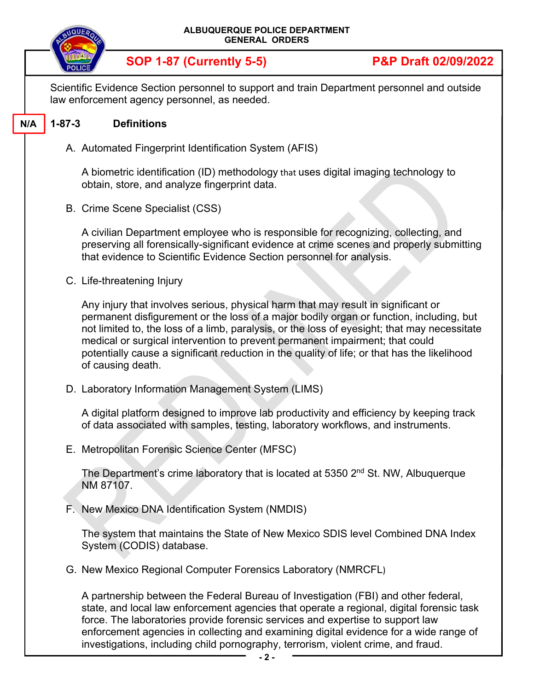| ALBUQUERQUE POLICE DEPARTMENT<br><b>GENERAL ORDERS</b> |                                                                                                                                                                                                                                                                                                                                                                                                                                                                                   |                                 |  |  |
|--------------------------------------------------------|-----------------------------------------------------------------------------------------------------------------------------------------------------------------------------------------------------------------------------------------------------------------------------------------------------------------------------------------------------------------------------------------------------------------------------------------------------------------------------------|---------------------------------|--|--|
|                                                        | <b>SOP 1-87 (Currently 5-5)</b>                                                                                                                                                                                                                                                                                                                                                                                                                                                   | <b>P&amp;P Draft 02/09/2022</b> |  |  |
|                                                        | Scientific Evidence Section personnel to support and train Department personnel and outside<br>law enforcement agency personnel, as needed.                                                                                                                                                                                                                                                                                                                                       |                                 |  |  |
| $1 - 87 - 3$<br>N/A                                    | <b>Definitions</b>                                                                                                                                                                                                                                                                                                                                                                                                                                                                |                                 |  |  |
|                                                        | A. Automated Fingerprint Identification System (AFIS)                                                                                                                                                                                                                                                                                                                                                                                                                             |                                 |  |  |
|                                                        | A biometric identification (ID) methodology that uses digital imaging technology to<br>obtain, store, and analyze fingerprint data.                                                                                                                                                                                                                                                                                                                                               |                                 |  |  |
|                                                        | B. Crime Scene Specialist (CSS)                                                                                                                                                                                                                                                                                                                                                                                                                                                   |                                 |  |  |
|                                                        | A civilian Department employee who is responsible for recognizing, collecting, and<br>preserving all forensically-significant evidence at crime scenes and properly submitting<br>that evidence to Scientific Evidence Section personnel for analysis.                                                                                                                                                                                                                            |                                 |  |  |
|                                                        | C. Life-threatening Injury                                                                                                                                                                                                                                                                                                                                                                                                                                                        |                                 |  |  |
|                                                        | Any injury that involves serious, physical harm that may result in significant or<br>permanent disfigurement or the loss of a major bodily organ or function, including, but<br>not limited to, the loss of a limb, paralysis, or the loss of eyesight; that may necessitate<br>medical or surgical intervention to prevent permanent impairment; that could<br>potentially cause a significant reduction in the quality of life; or that has the likelihood<br>of causing death. |                                 |  |  |
|                                                        | D. Laboratory Information Management System (LIMS)                                                                                                                                                                                                                                                                                                                                                                                                                                |                                 |  |  |
|                                                        | A digital platform designed to improve lab productivity and efficiency by keeping track<br>of data associated with samples, testing, laboratory workflows, and instruments.                                                                                                                                                                                                                                                                                                       |                                 |  |  |
|                                                        | E. Metropolitan Forensic Science Center (MFSC)                                                                                                                                                                                                                                                                                                                                                                                                                                    |                                 |  |  |
|                                                        | The Department's crime laboratory that is located at 5350 2 <sup>nd</sup> St. NW, Albuquerque<br>NM 87107.                                                                                                                                                                                                                                                                                                                                                                        |                                 |  |  |
|                                                        | F. New Mexico DNA Identification System (NMDIS)                                                                                                                                                                                                                                                                                                                                                                                                                                   |                                 |  |  |
|                                                        | The system that maintains the State of New Mexico SDIS level Combined DNA Index<br>System (CODIS) database.                                                                                                                                                                                                                                                                                                                                                                       |                                 |  |  |
|                                                        | G. New Mexico Regional Computer Forensics Laboratory (NMRCFL)                                                                                                                                                                                                                                                                                                                                                                                                                     |                                 |  |  |
|                                                        | A partnership between the Federal Bureau of Investigation (FBI) and other federal,<br>state, and local law enforcement agencies that operate a regional, digital forensic task<br>force. The laboratories provide forensic services and expertise to support law<br>enforcement agencies in collecting and examining digital evidence for a wide range of<br>investigations, including child pornography, terrorism, violent crime, and fraud.                                    |                                 |  |  |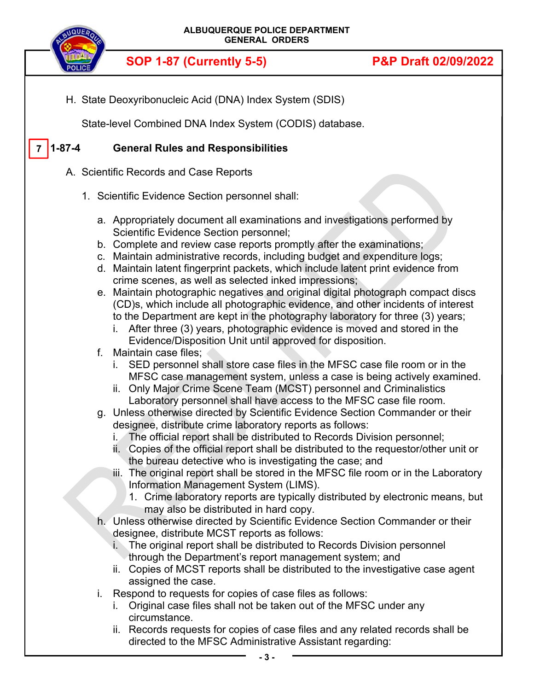

H. State Deoxyribonucleic Acid (DNA) Index System (SDIS)

State-level Combined DNA Index System (CODIS) database.

#### **1-87-4 General Rules and Responsibilities 7**

- A. Scientific Records and Case Reports
	- 1. Scientific Evidence Section personnel shall:
		- a. Appropriately document all examinations and investigations performed by Scientific Evidence Section personnel;
		- b. Complete and review case reports promptly after the examinations;
		- c. Maintain administrative records, including budget and expenditure logs;
		- d. Maintain latent fingerprint packets, which include latent print evidence from crime scenes, as well as selected inked impressions;
		- e. Maintain photographic negatives and original digital photograph compact discs (CD)s, which include all photographic evidence, and other incidents of interest to the Department are kept in the photography laboratory for three (3) years;
			- i. After three (3) years, photographic evidence is moved and stored in the Evidence/Disposition Unit until approved for disposition.
		- f. Maintain case files;
			- i. SED personnel shall store case files in the MFSC case file room or in the MFSC case management system, unless a case is being actively examined.
			- ii. Only Major Crime Scene Team (MCST) personnel and Criminalistics Laboratory personnel shall have access to the MFSC case file room.
		- g. Unless otherwise directed by Scientific Evidence Section Commander or their designee, distribute crime laboratory reports as follows:
			- i. The official report shall be distributed to Records Division personnel;
			- ii. Copies of the official report shall be distributed to the requestor/other unit or the bureau detective who is investigating the case; and
			- iii. The original report shall be stored in the MFSC file room or in the Laboratory Information Management System (LIMS).
				- 1. Crime laboratory reports are typically distributed by electronic means, but may also be distributed in hard copy.
		- h. Unless otherwise directed by Scientific Evidence Section Commander or their designee, distribute MCST reports as follows:
			- i. The original report shall be distributed to Records Division personnel through the Department's report management system; and
			- ii. Copies of MCST reports shall be distributed to the investigative case agent assigned the case.
		- i. Respond to requests for copies of case files as follows:
			- i. Original case files shall not be taken out of the MFSC under any circumstance.
			- ii. Records requests for copies of case files and any related records shall be directed to the MFSC Administrative Assistant regarding: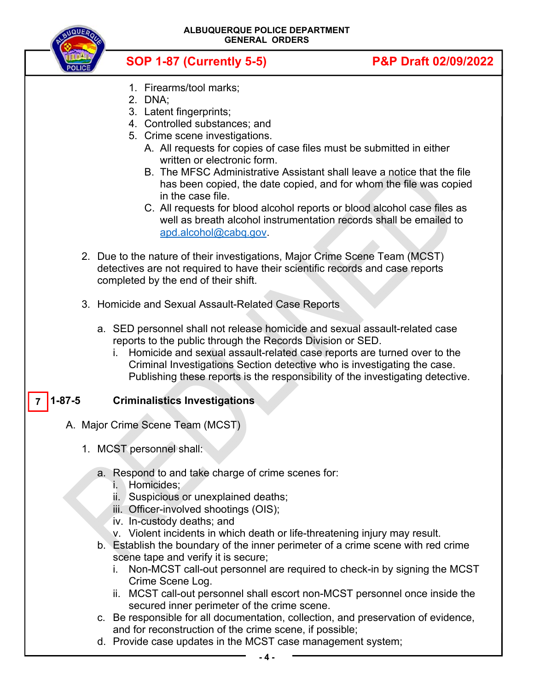| <b>NQUEA</b> | ALBUQUERQUE POLICE DEPARTMENT<br><b>GENERAL ORDERS</b>                                                                                                                                                                                                                                                                                                                                                                                                                                                                                                                                  |                                 |  |
|--------------|-----------------------------------------------------------------------------------------------------------------------------------------------------------------------------------------------------------------------------------------------------------------------------------------------------------------------------------------------------------------------------------------------------------------------------------------------------------------------------------------------------------------------------------------------------------------------------------------|---------------------------------|--|
|              | <b>SOP 1-87 (Currently 5-5)</b>                                                                                                                                                                                                                                                                                                                                                                                                                                                                                                                                                         | <b>P&amp;P Draft 02/09/2022</b> |  |
|              | 1. Firearms/tool marks;<br>2. DNA:<br>3. Latent fingerprints;<br>4. Controlled substances; and<br>5. Crime scene investigations.<br>A. All requests for copies of case files must be submitted in either<br>written or electronic form.<br>B. The MFSC Administrative Assistant shall leave a notice that the file<br>has been copied, the date copied, and for whom the file was copied<br>in the case file.<br>C. All requests for blood alcohol reports or blood alcohol case files as<br>well as breath alcohol instrumentation records shall be emailed to<br>apd.alcohol@cabq.gov |                                 |  |
|              | 2. Due to the nature of their investigations, Major Crime Scene Team (MCST)<br>detectives are not required to have their scientific records and case reports<br>completed by the end of their shift.                                                                                                                                                                                                                                                                                                                                                                                    |                                 |  |
|              | 3. Homicide and Sexual Assault-Related Case Reports<br>a. SED personnel shall not release homicide and sexual assault-related case                                                                                                                                                                                                                                                                                                                                                                                                                                                      |                                 |  |
|              | reports to the public through the Records Division or SED.<br>i. Homicide and sexual assault-related case reports are turned over to the                                                                                                                                                                                                                                                                                                                                                                                                                                                |                                 |  |

Criminal Investigations Section detective who is investigating the case. Publishing these reports is the responsibility of the investigating detective.

#### **1-87-5 Criminalistics Investigations 7**

- A. Major Crime Scene Team (MCST)
	- 1. MCST personnel shall:
		- a. Respond to and take charge of crime scenes for:
			- i. Homicides;
			- ii. Suspicious or unexplained deaths;
			- iii. Officer-involved shootings (OIS);
			- iv. In-custody deaths; and
			- v. Violent incidents in which death or life-threatening injury may result.
		- b. Establish the boundary of the inner perimeter of a crime scene with red crime scene tape and verify it is secure;
			- i. Non-MCST call-out personnel are required to check-in by signing the MCST Crime Scene Log.
			- ii. MCST call-out personnel shall escort non-MCST personnel once inside the secured inner perimeter of the crime scene.
		- c. Be responsible for all documentation, collection, and preservation of evidence, and for reconstruction of the crime scene, if possible;
		- d. Provide case updates in the MCST case management system;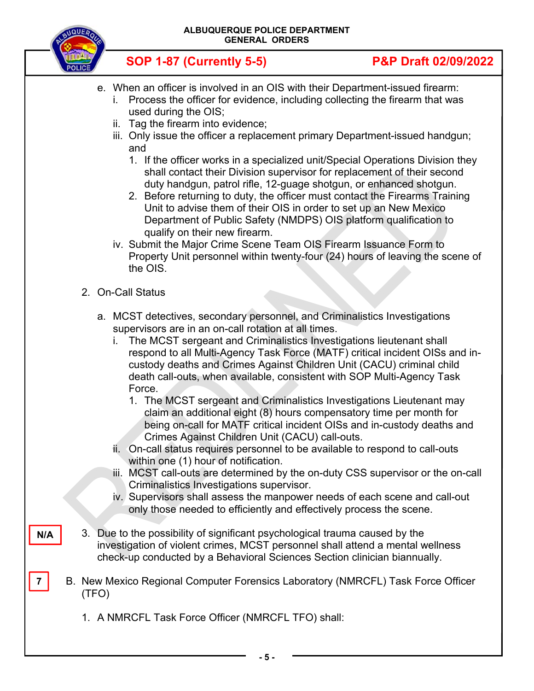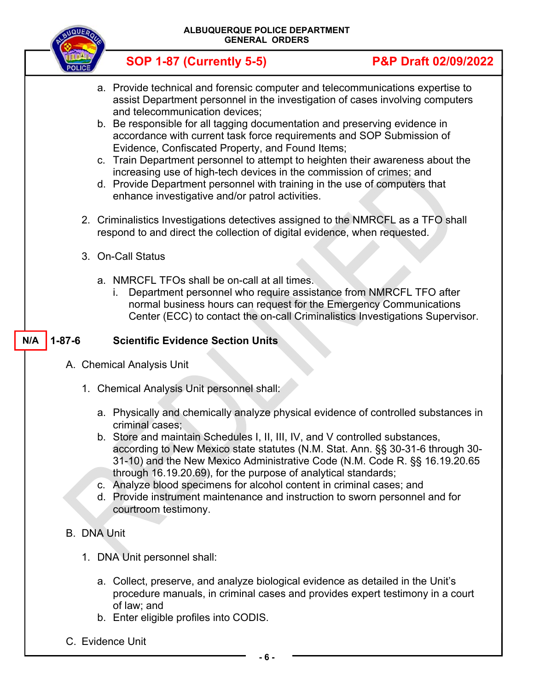

 **SOP 1-87 (Currently 5-5) P&P Draft 02/09/2022** a. Provide technical and forensic computer and telecommunications expertise to assist Department personnel in the investigation of cases involving computers and telecommunication devices;

- b. Be responsible for all tagging documentation and preserving evidence in accordance with current task force requirements and SOP Submission of Evidence, Confiscated Property, and Found Items;
- c. Train Department personnel to attempt to heighten their awareness about the increasing use of high-tech devices in the commission of crimes; and
- d. Provide Department personnel with training in the use of computers that enhance investigative and/or patrol activities.
- 2. Criminalistics Investigations detectives assigned to the NMRCFL as a TFO shall respond to and direct the collection of digital evidence, when requested.
- 3. On-Call Status
	- a. NMRCFL TFOs shall be on-call at all times.
		- i. Department personnel who require assistance from NMRCFL TFO after normal business hours can request for the Emergency Communications Center (ECC) to contact the on-call Criminalistics Investigations Supervisor.

#### **1-87-6 Scientific Evidence Section Units N/A**

- A. Chemical Analysis Unit
	- 1. Chemical Analysis Unit personnel shall:
		- a. Physically and chemically analyze physical evidence of controlled substances in criminal cases;
		- b. Store and maintain Schedules I, II, III, IV, and V controlled substances, according to New Mexico state statutes (N.M. Stat. Ann. §§ 30-31-6 through 30- 31-10) and the New Mexico Administrative Code (N.M. Code R. §§ 16.19.20.65 through 16.19.20.69), for the purpose of analytical standards;
		- c. Analyze blood specimens for alcohol content in criminal cases; and
		- d. Provide instrument maintenance and instruction to sworn personnel and for courtroom testimony.

# B. DNA Unit

- 1. DNA Unit personnel shall:
	- a. Collect, preserve, and analyze biological evidence as detailed in the Unit's procedure manuals, in criminal cases and provides expert testimony in a court of law; and
	- b. Enter eligible profiles into CODIS.
- C. Evidence Unit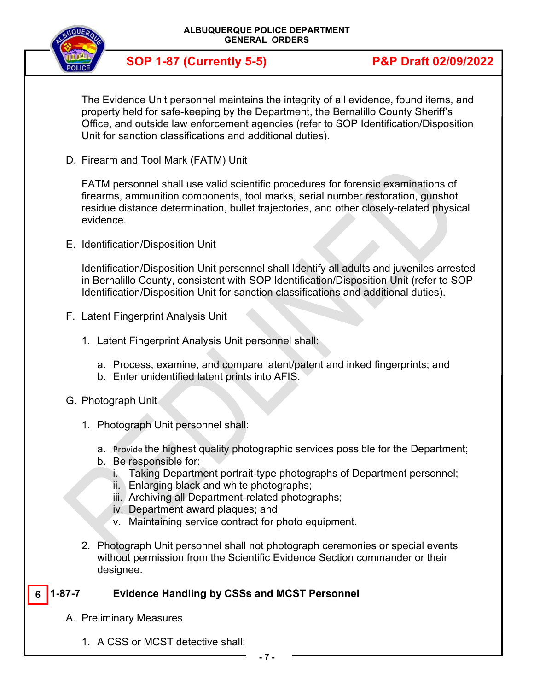

The Evidence Unit personnel maintains the integrity of all evidence, found items, and property held for safe-keeping by the Department, the Bernalillo County Sheriff's Office, and outside law enforcement agencies (refer to SOP Identification/Disposition Unit for sanction classifications and additional duties).

D. Firearm and Tool Mark (FATM) Unit

FATM personnel shall use valid scientific procedures for forensic examinations of firearms, ammunition components, tool marks, serial number restoration, gunshot residue distance determination, bullet trajectories, and other closely-related physical evidence.

E. Identification/Disposition Unit

Identification/Disposition Unit personnel shall Identify all adults and juveniles arrested in Bernalillo County, consistent with SOP Identification/Disposition Unit (refer to SOP Identification/Disposition Unit for sanction classifications and additional duties).

- F. Latent Fingerprint Analysis Unit
	- 1. Latent Fingerprint Analysis Unit personnel shall:
		- a. Process, examine, and compare latent/patent and inked fingerprints; and
		- b. Enter unidentified latent prints into AFIS.
- G. Photograph Unit
	- 1. Photograph Unit personnel shall:
		- a. Provide the highest quality photographic services possible for the Department;
		- b. Be responsible for:
			- i. Taking Department portrait-type photographs of Department personnel;
			- ii. Enlarging black and white photographs;
			- iii. Archiving all Department-related photographs;
			- iv. Department award plaques; and
			- v. Maintaining service contract for photo equipment.
	- 2. Photograph Unit personnel shall not photograph ceremonies or special events without permission from the Scientific Evidence Section commander or their designee.

#### **1-87-7 Evidence Handling by CSSs and MCST Personnel 6**

- A. Preliminary Measures
	- 1. A CSS or MCST detective shall: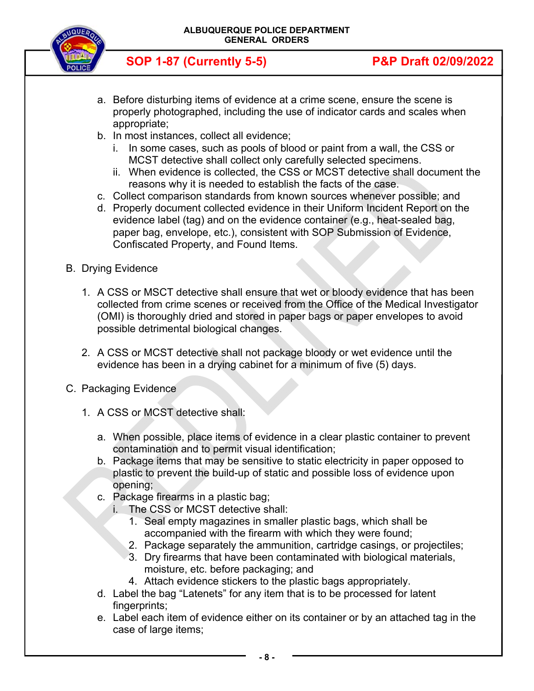

- a. Before disturbing items of evidence at a crime scene, ensure the scene is properly photographed, including the use of indicator cards and scales when appropriate;
- b. In most instances, collect all evidence;
	- i. In some cases, such as pools of blood or paint from a wall, the CSS or MCST detective shall collect only carefully selected specimens.
	- ii. When evidence is collected, the CSS or MCST detective shall document the reasons why it is needed to establish the facts of the case.
- c. Collect comparison standards from known sources whenever possible; and
- d. Properly document collected evidence in their Uniform Incident Report on the evidence label (tag) and on the evidence container (e.g., heat-sealed bag, paper bag, envelope, etc.), consistent with SOP Submission of Evidence, Confiscated Property, and Found Items.
- B. Drying Evidence
	- 1. A CSS or MSCT detective shall ensure that wet or bloody evidence that has been collected from crime scenes or received from the Office of the Medical Investigator (OMI) is thoroughly dried and stored in paper bags or paper envelopes to avoid possible detrimental biological changes.
	- 2. A CSS or MCST detective shall not package bloody or wet evidence until the evidence has been in a drying cabinet for a minimum of five (5) days.
- C. Packaging Evidence
	- 1. A CSS or MCST detective shall:
		- a. When possible, place items of evidence in a clear plastic container to prevent contamination and to permit visual identification;
		- b. Package items that may be sensitive to static electricity in paper opposed to plastic to prevent the build-up of static and possible loss of evidence upon opening;
		- c. Package firearms in a plastic bag;
			- i. The CSS or MCST detective shall:
				- 1. Seal empty magazines in smaller plastic bags, which shall be accompanied with the firearm with which they were found;
				- 2. Package separately the ammunition, cartridge casings, or projectiles;
				- 3. Dry firearms that have been contaminated with biological materials, moisture, etc. before packaging; and
				- 4. Attach evidence stickers to the plastic bags appropriately.
		- d. Label the bag "Latenets" for any item that is to be processed for latent fingerprints:
		- e. Label each item of evidence either on its container or by an attached tag in the case of large items;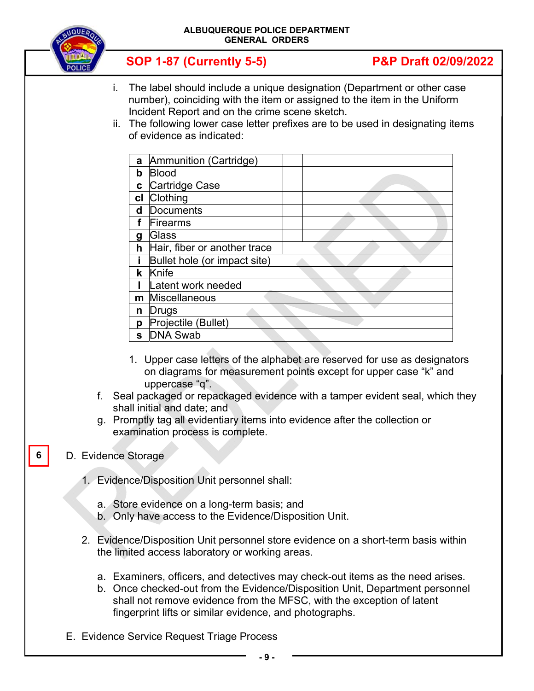| <b>AUQUER</b>            | ALBUQUERQUE POLICE DEPARTMENT<br><b>GENERAL ORDERS</b>                                                                                                                                                                                                                                                                                                                                                                                                                                                                                                  |                                 |  |
|--------------------------|---------------------------------------------------------------------------------------------------------------------------------------------------------------------------------------------------------------------------------------------------------------------------------------------------------------------------------------------------------------------------------------------------------------------------------------------------------------------------------------------------------------------------------------------------------|---------------------------------|--|
|                          | <b>SOP 1-87 (Currently 5-5)</b>                                                                                                                                                                                                                                                                                                                                                                                                                                                                                                                         | <b>P&amp;P Draft 02/09/2022</b> |  |
| i.                       | The label should include a unique designation (Department or other case<br>number), coinciding with the item or assigned to the item in the Uniform<br>Incident Report and on the crime scene sketch.<br>ii. The following lower case letter prefixes are to be used in designating items<br>of evidence as indicated:                                                                                                                                                                                                                                  |                                 |  |
|                          | Ammunition (Cartridge)<br>a<br>$\mathbf b$<br><b>Blood</b><br>Cartridge Case<br>$\mathbf c$<br>cl Clothing<br>Documents<br>d<br>f<br>Firearms<br><b>Glass</b><br>$\boldsymbol{g}$<br><b>h</b> Hair, fiber or another trace<br>j.<br>Bullet hole (or impact site)<br>k Knife<br>Latent work needed<br>m Miscellaneous<br><b>n</b> Drugs<br>p Projectile (Bullet)<br>s <b>DNA</b> Swab<br>1. Upper case letters of the alphabet are reserved for use as designators<br>on diagrams for measurement points except for upper case "k" and<br>uppercase "q". |                                 |  |
|                          | f. Seal packaged or repackaged evidence with a tamper evident seal, which they<br>shall initial and date; and<br>g. Promptly tag all evidentiary items into evidence after the collection or<br>examination process is complete.                                                                                                                                                                                                                                                                                                                        |                                 |  |
| D. Evidence Storage<br>6 |                                                                                                                                                                                                                                                                                                                                                                                                                                                                                                                                                         |                                 |  |
|                          | 1. Evidence/Disposition Unit personnel shall:                                                                                                                                                                                                                                                                                                                                                                                                                                                                                                           |                                 |  |
|                          | a. Store evidence on a long-term basis; and<br>b. Only have access to the Evidence/Disposition Unit.                                                                                                                                                                                                                                                                                                                                                                                                                                                    |                                 |  |
|                          | 2. Evidence/Disposition Unit personnel store evidence on a short-term basis within<br>the limited access laboratory or working areas.                                                                                                                                                                                                                                                                                                                                                                                                                   |                                 |  |
|                          | a. Examiners, officers, and detectives may check-out items as the need arises.<br>b Once checked-out from the Evidence/Disposition Unit Department personnel                                                                                                                                                                                                                                                                                                                                                                                            |                                 |  |

- b. Once checked-out from the Evidence/Disposition Unit, Department personnel shall not remove evidence from the MFSC, with the exception of latent fingerprint lifts or similar evidence, and photographs.
- E. Evidence Service Request Triage Process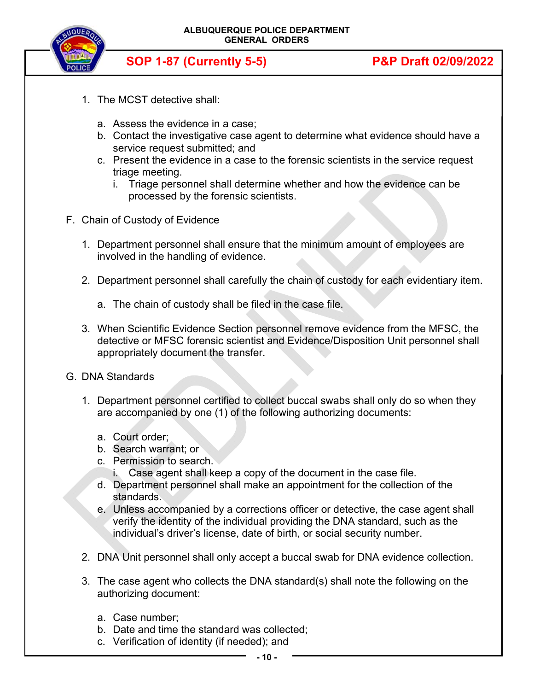

- 1. The MCST detective shall:
	- a. Assess the evidence in a case;
	- b. Contact the investigative case agent to determine what evidence should have a service request submitted; and
	- c. Present the evidence in a case to the forensic scientists in the service request triage meeting.
		- i. Triage personnel shall determine whether and how the evidence can be processed by the forensic scientists.
- F. Chain of Custody of Evidence
	- 1. Department personnel shall ensure that the minimum amount of employees are involved in the handling of evidence.
	- 2. Department personnel shall carefully the chain of custody for each evidentiary item.
		- a. The chain of custody shall be filed in the case file.
	- 3. When Scientific Evidence Section personnel remove evidence from the MFSC, the detective or MFSC forensic scientist and Evidence/Disposition Unit personnel shall appropriately document the transfer.
- G. DNA Standards
	- 1. Department personnel certified to collect buccal swabs shall only do so when they are accompanied by one (1) of the following authorizing documents:
		- a. Court order;
		- b. Search warrant; or
		- c. Permission to search.
			- i. Case agent shall keep a copy of the document in the case file.
		- d. Department personnel shall make an appointment for the collection of the standards.
		- e. Unless accompanied by a corrections officer or detective, the case agent shall verify the identity of the individual providing the DNA standard, such as the individual's driver's license, date of birth, or social security number.
	- 2. DNA Unit personnel shall only accept a buccal swab for DNA evidence collection.
	- 3. The case agent who collects the DNA standard(s) shall note the following on the authorizing document:
		- a. Case number;
		- b. Date and time the standard was collected;
		- c. Verification of identity (if needed); and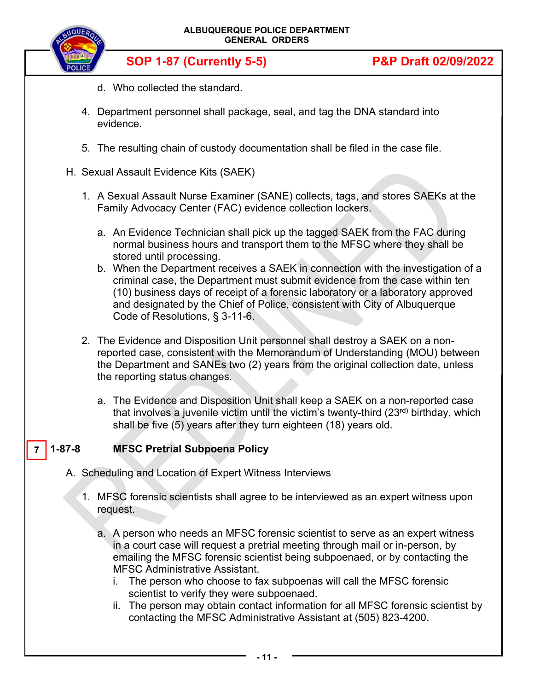

- d. Who collected the standard.
- 4. Department personnel shall package, seal, and tag the DNA standard into evidence.
- 5. The resulting chain of custody documentation shall be filed in the case file.
- H. Sexual Assault Evidence Kits (SAEK)
	- 1. A Sexual Assault Nurse Examiner (SANE) collects, tags, and stores SAEKs at the Family Advocacy Center (FAC) evidence collection lockers.
		- a. An Evidence Technician shall pick up the tagged SAEK from the FAC during normal business hours and transport them to the MFSC where they shall be stored until processing.
		- b. When the Department receives a SAEK in connection with the investigation of a criminal case, the Department must submit evidence from the case within ten (10) business days of receipt of a forensic laboratory or a laboratory approved and designated by the Chief of Police, consistent with City of Albuquerque Code of Resolutions, § 3-11-6.
	- 2. The Evidence and Disposition Unit personnel shall destroy a SAEK on a nonreported case, consistent with the Memorandum of Understanding (MOU) between the Department and SANEs two (2) years from the original collection date, unless the reporting status changes.
		- a. The Evidence and Disposition Unit shall keep a SAEK on a non-reported case that involves a juvenile victim until the victim's twenty-third (23<sup>rd)</sup> birthday, which shall be five (5) years after they turn eighteen (18) years old.

#### **MFSC Pretrial Subpoena Policy**  $7 \mid 1 - 87 - 8$

- A. Scheduling and Location of Expert Witness Interviews
	- 1. MFSC forensic scientists shall agree to be interviewed as an expert witness upon request.
		- a. A person who needs an MFSC forensic scientist to serve as an expert witness in a court case will request a pretrial meeting through mail or in-person, by emailing the MFSC forensic scientist being subpoenaed, or by contacting the MFSC Administrative Assistant.
			- i. The person who choose to fax subpoenas will call the MFSC forensic scientist to verify they were subpoenaed.
			- ii. The person may obtain contact information for all MFSC forensic scientist by contacting the MFSC Administrative Assistant at (505) 823-4200.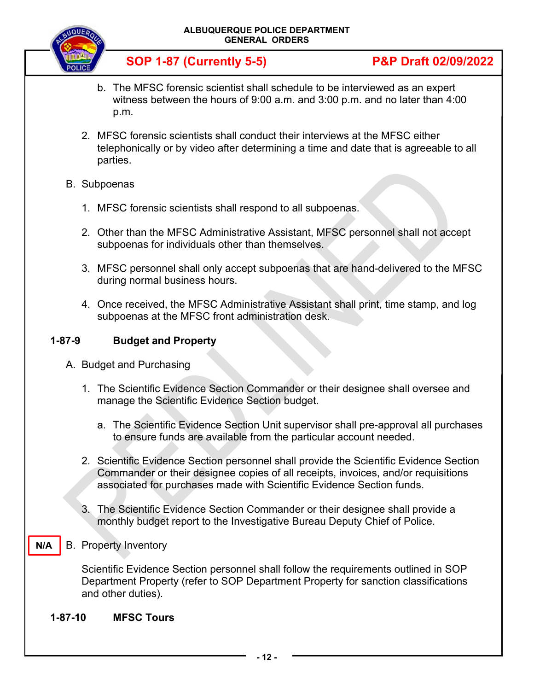

- b. The MFSC forensic scientist shall schedule to be interviewed as an expert witness between the hours of 9:00 a.m. and 3:00 p.m. and no later than 4:00 p.m.
- 2. MFSC forensic scientists shall conduct their interviews at the MFSC either telephonically or by video after determining a time and date that is agreeable to all parties.
- B. Subpoenas
	- 1. MFSC forensic scientists shall respond to all subpoenas.
	- 2. Other than the MFSC Administrative Assistant, MFSC personnel shall not accept subpoenas for individuals other than themselves.
	- 3. MFSC personnel shall only accept subpoenas that are hand-delivered to the MFSC during normal business hours.
	- 4. Once received, the MFSC Administrative Assistant shall print, time stamp, and log subpoenas at the MFSC front administration desk.

# **1-87-9 Budget and Property**

- A. Budget and Purchasing
	- 1. The Scientific Evidence Section Commander or their designee shall oversee and manage the Scientific Evidence Section budget.
		- a. The Scientific Evidence Section Unit supervisor shall pre-approval all purchases to ensure funds are available from the particular account needed.
	- 2. Scientific Evidence Section personnel shall provide the Scientific Evidence Section Commander or their designee copies of all receipts, invoices, and/or requisitions associated for purchases made with Scientific Evidence Section funds.
	- 3. The Scientific Evidence Section Commander or their designee shall provide a monthly budget report to the Investigative Bureau Deputy Chief of Police.
- B. Property Inventory

**N/A** 

Scientific Evidence Section personnel shall follow the requirements outlined in SOP Department Property (refer to SOP Department Property for sanction classifications and other duties).

**1-87-10 MFSC Tours**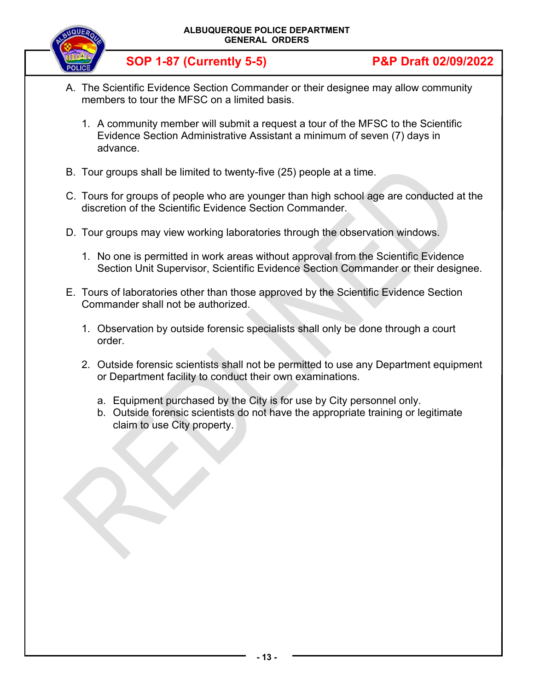

- A. The Scientific Evidence Section Commander or their designee may allow community members to tour the MFSC on a limited basis.
	- 1. A community member will submit a request a tour of the MFSC to the Scientific Evidence Section Administrative Assistant a minimum of seven (7) days in advance.
- B. Tour groups shall be limited to twenty-five (25) people at a time.
- C. Tours for groups of people who are younger than high school age are conducted at the discretion of the Scientific Evidence Section Commander.
- D. Tour groups may view working laboratories through the observation windows.
	- 1. No one is permitted in work areas without approval from the Scientific Evidence Section Unit Supervisor, Scientific Evidence Section Commander or their designee.
- E. Tours of laboratories other than those approved by the Scientific Evidence Section Commander shall not be authorized.
	- 1. Observation by outside forensic specialists shall only be done through a court order.
	- 2. Outside forensic scientists shall not be permitted to use any Department equipment or Department facility to conduct their own examinations.
		- a. Equipment purchased by the City is for use by City personnel only.
		- b. Outside forensic scientists do not have the appropriate training or legitimate claim to use City property.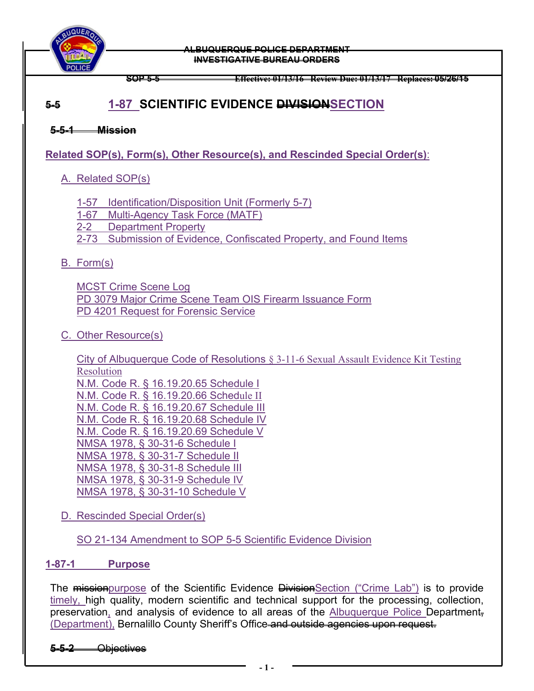

#### **ALBUQUERQUE POLICE DEPARTMENT INVESTIGATIVE BUREAU ORDERS**

**SOP 5-5 Effective: 01/13/16 Review Due: 01/13/17 Replaces: 05/26/15**

# **5-5 1-87 SCIENTIFIC EVIDENCE DIVISIONSECTION**

**5-5-1 Mission** 

**Related SOP(s), Form(s), Other Resource(s), and Rescinded Special Order(s)**:

# A. Related SOP(s)

- 1-57 Identification/Disposition Unit (Formerly 5-7)
- 1-67 Multi-Agency Task Force (MATF)
- 2-2 Department Property
- 2-73 Submission of Evidence, Confiscated Property, and Found Items

# B. Form(s)

MCST Crime Scene Log PD 3079 Major Crime Scene Team OIS Firearm Issuance Form PD 4201 Request for Forensic Service

# C. Other Resource(s)

City of Albuquerque Code of Resolutions § 3-11-6 Sexual Assault Evidence Kit Testing Resolution N.M. Code R. § 16.19.20.65 Schedule I N.M. Code R. § 16.19.20.66 Schedule II N.M. Code R. § 16.19.20.67 Schedule III N.M. Code R. § 16.19.20.68 Schedule IV N.M. Code R. § 16.19.20.69 Schedule V NMSA 1978, § 30-31-6 Schedule I NMSA 1978, § 30-31-7 Schedule II NMSA 1978, § 30-31-8 Schedule III NMSA 1978, § 30-31-9 Schedule IV NMSA 1978, § 30-31-10 Schedule V

D. Rescinded Special Order(s)

SO 21-134 Amendment to SOP 5-5 Scientific Evidence Division

# **1-87-1 Purpose**

The mission purpose of the Scientific Evidence Division Section ("Crime Lab") is to provide timely, high quality, modern scientific and technical support for the processing, collection, preservation, and analysis of evidence to all areas of the Albuquerque Police Department, (Department), Bernalillo County Sheriff's Office and outside agencies upon request.

# **5-5-2** Objectives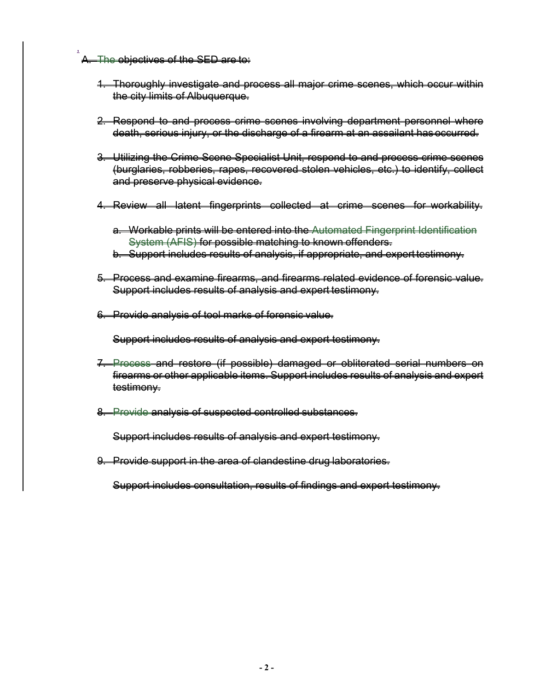A. The objectives of the SED are to:

,

- 1. Thoroughly investigate and process all major crime scenes, which occur within the city limits of Albuquerque.
- 2. Respond to and process crime scenes involving department personnel where death, serious injury, or the discharge of a firearm at an assailant has occurred.
- 3. Utilizing the Crime Scene Specialist Unit, respond to and process crime scenes (burglaries, robberies, rapes, recovered stolen vehicles, etc.) to identify, collect and preserve physical evidence.
- 4. Review all latent fingerprints collected at crime scenes for workability.
	- a. Workable prints will be entered into the Automated Fingerprint Identification System (AFIS) for possible matching to known offenders.
	- b. Support includes results of analysis, if appropriate, and expert testimony.
- 5. Process and examine firearms, and firearms related evidence of forensic value. Support includes results of analysis and expert testimony.
- 6. Provide analysis of tool marks of forensic value.

Support includes results of analysis and expert testimony.

- 7. Process and restore (if possible) damaged or obliterated serial numbers on firearms or other applicable items. Support includes results of analysis and expert testimony.
- 8. Provide analysis of suspected controlled substances.

Support includes results of analysis and expert testimony.

9. Provide support in the area of clandestine drug laboratories.

Support includes consultation, results of findings and expert testimony.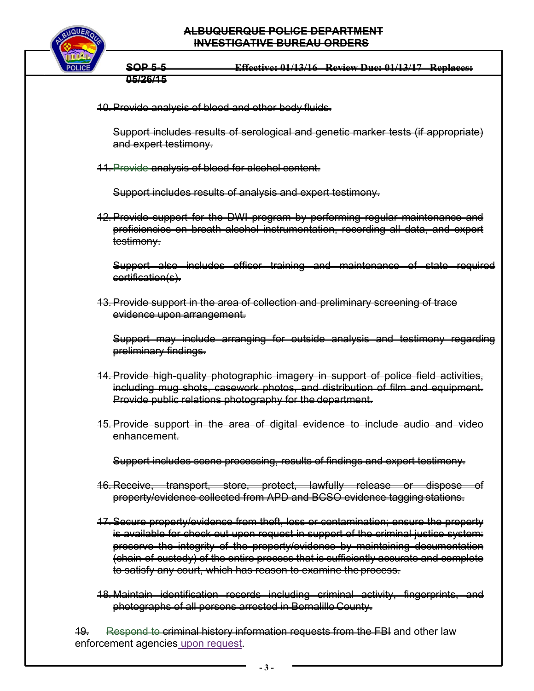### **ALBUQUERQUE POLICE DEPARTMENT INVESTIGATIVE BUREAU ORDERS**



**SOP 5-5 Effective: 01/13/16 Review Due: 01/13/17 Replaces: 05/26/15** 

10. Provide analysis of blood and other body fluids.

Support includes results of serological and genetic marker tests (if appropriate) and expert testimony.

11.Provide analysis of blood for alcohol content.

Support includes results of analysis and expert testimony.

12. Provide support for the DWI program by performing regular maintenance and proficiencies on breath alcohol instrumentation, recording all data, and expert testimony.

Support also includes officer training and maintenance of state required certification(s).

13. Provide support in the area of collection and preliminary screening of trace evidence upon arrangement.

Support may include arranging for outside analysis and testimony regarding preliminary findings.

- 14. Provide high-quality photographic imagery in support of police field activities, including mug shots, casework photos, and distribution of film and equipment. Provide public relations photography for the department.
- 15. Provide support in the area of digital evidence to include audio and video enhancement.

Support includes scene processing, results of findings and expert testimony.

- 16. Receive, transport, store, protect, lawfully release or dispose of property/evidence collected from APD and BCSO evidence tagging stations.
- 17. Secure property/evidence from theft, loss or contamination; ensure the property is available for check out upon request in support of the criminal justice system: preserve the integrity of the property/evidence by maintaining documentation (chain-of-custody) of the entire process that is sufficiently accurate and complete to satisfy any court, which has reason to examine the process.
- 18. Maintain identification records including criminal activity, fingerprints, and photographs of all persons arrested in Bernalillo County.

19. Respond to criminal history information requests from the FBI and other law enforcement agencies upon request.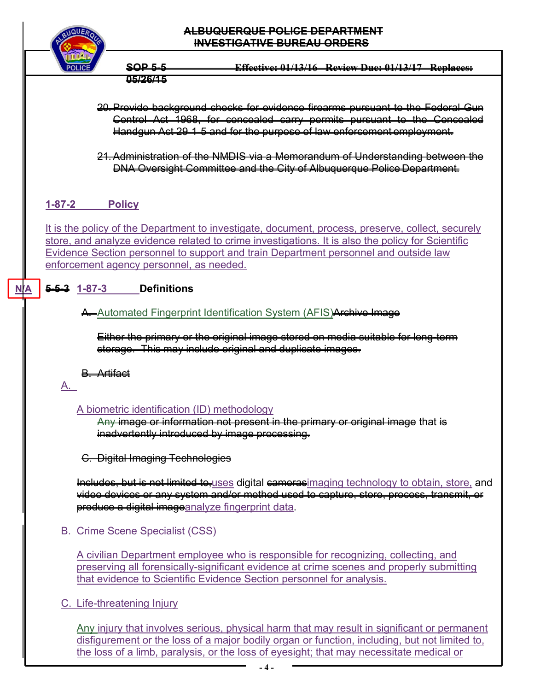

## **ALBUQUERQUE POLICE DEPARTMENT INVESTIGATIVE BUREAU ORDERS**

**SOP 5-5 Effective: 01/13/16 Review Due: 01/13/17 Replaces: 05/26/15** 

- 20. Provide background checks for evidence firearms pursuant to the Federal Gun Control Act 1968, for concealed carry permits pursuant to the Concealed Handgun Act 29-1-5 and for the purpose of law enforcement employment.
- 21. Administration of the NMDIS via a Memorandum of Understanding between the DNA Oversight Committee and the City of Albuquerque Police Department.

# **1-87-2 Policy**

It is the policy of the Department to investigate, document, process, preserve, collect, securely store, and analyze evidence related to crime investigations. It is also the policy for Scientific Evidence Section personnel to support and train Department personnel and outside law enforcement agency personnel, as needed.

# **5-5-3 1-87-3 Definitions**

# A. Automated Fingerprint Identification System (AFIS) Archive Image

Either the primary or the original image stored on media suitable for long-term storage. This may include original and duplicate images.

B. Artifact

# A.

**N/A** 

# A biometric identification (ID) methodology

Any image or information not present in the primary or original image that is inadvertently introduced by image processing.

C. Digital Imaging Technologies

Includes, but is not limited to, uses digital camerasimaging technology to obtain, store, and video devices or any system and/or method used to capture, store, process, transmit, or produce a digital imageanalyze fingerprint data.

# B. Crime Scene Specialist (CSS)

A civilian Department employee who is responsible for recognizing, collecting, and preserving all forensically-significant evidence at crime scenes and properly submitting that evidence to Scientific Evidence Section personnel for analysis.

# C. Life-threatening Injury

Any injury that involves serious, physical harm that may result in significant or permanent disfigurement or the loss of a major bodily organ or function, including, but not limited to, the loss of a limb, paralysis, or the loss of eyesight; that may necessitate medical or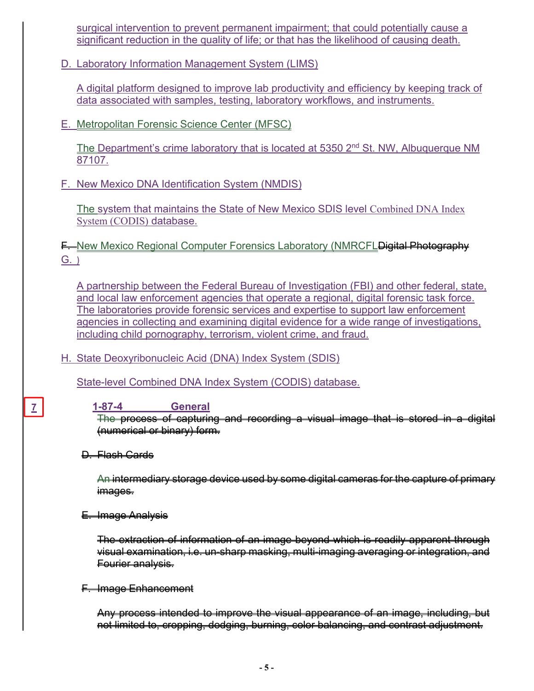surgical intervention to prevent permanent impairment; that could potentially cause a significant reduction in the quality of life; or that has the likelihood of causing death.

D. Laboratory Information Management System (LIMS)

A digital platform designed to improve lab productivity and efficiency by keeping track of data associated with samples, testing, laboratory workflows, and instruments.

E. Metropolitan Forensic Science Center (MFSC)

The Department's crime laboratory that is located at 5350 2nd St. NW, Albuquerque NM 87107.

F. New Mexico DNA Identification System (NMDIS)

The system that maintains the State of New Mexico SDIS level Combined DNA Index System (CODIS) database.

**F.** New Mexico Regional Computer Forensics Laboratory (NMRCFL Digital Photography G. )

A partnership between the Federal Bureau of Investigation (FBI) and other federal, state, and local law enforcement agencies that operate a regional, digital forensic task force. The laboratories provide forensic services and expertise to support law enforcement agencies in collecting and examining digital evidence for a wide range of investigations, including child pornography, terrorism, violent crime, and fraud.

H. State Deoxyribonucleic Acid (DNA) Index System (SDIS)

State-level Combined DNA Index System (CODIS) database.

**1-87-4 General** 

The process of capturing and recording a visual image that is stored in a digital (numerical or binary) form.

D. Flash Cards

**7** 

An intermediary storage device used by some digital cameras for the capture of primary images.

E. Image Analysis

The extraction of information of an image beyond which is readily apparent through visual examination, i.e. un-sharp masking, multi-imaging averaging or integration, and Fourier analysis.

F. Image Enhancement

Any process intended to improve the visual appearance of an image, including, but not limited to, cropping, dodging, burning, color balancing, and contrast adjustment.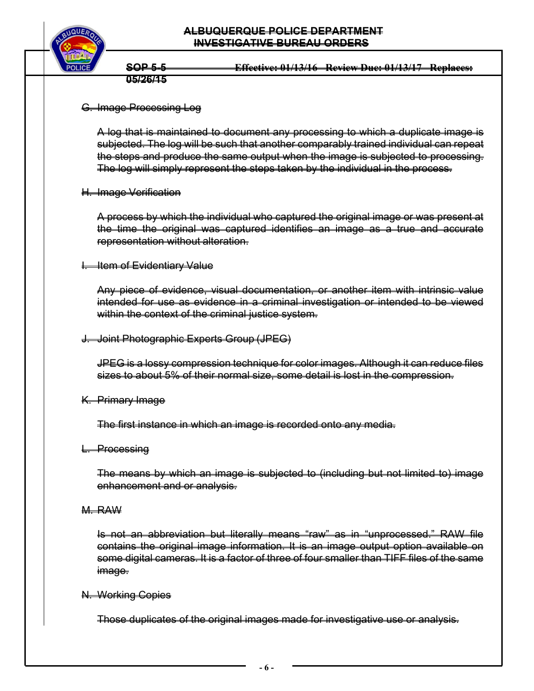

**SOP 5-5 Effective: 01/13/16 Review Due: 01/13/17 Replaces: 05/26/15** 

G. Image Processing Log

A log that is maintained to document any processing to which a duplicate image is subjected. The log will be such that another comparably trained individual can repeat the steps and produce the same output when the image is subjected to processing. The log will simply represent the steps taken by the individual in the process.

H. Image Verification

A process by which the individual who captured the original image or was present at the time the original was captured identifies an image as a true and accurate representation without alteration.

**I. Item of Evidentiary Value** 

Any piece of evidence, visual documentation, or another item with intrinsic value intended for use as evidence in a criminal investigation or intended to be viewed within the context of the criminal justice system.

J. Joint Photographic Experts Group (JPEG)

JPEG is a lossy compression technique for color images. Although it can reduce files sizes to about 5% of their normal size, some detail is lost in the compression.

K. Primary Image

The first instance in which an image is recorded onto any media.

L. Processing

The means by which an image is subjected to (including but not limited to) image enhancement and or analysis.

M. RAW

Is not an abbreviation but literally means "raw" as in "unprocessed." RAW file contains the original image information. It is an image output option available on some digital cameras. It is a factor of three of four smaller than TIFF files of the same image.

N. Working Copies

Those duplicates of the original images made for investigative use or analysis.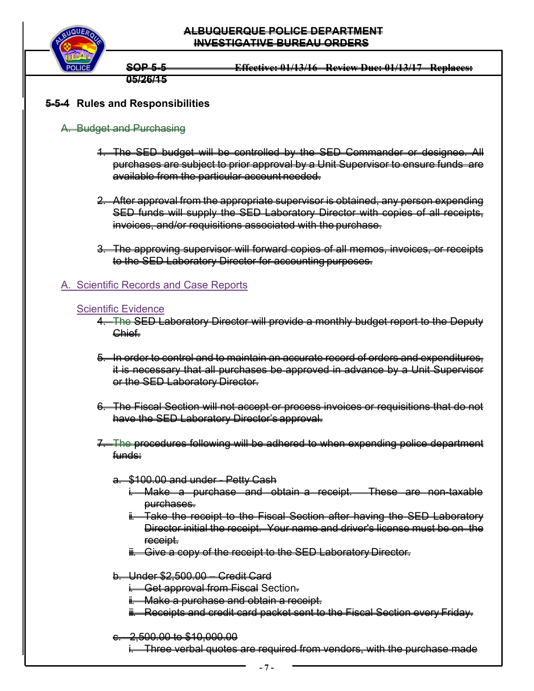

**SOP 5-5 Effective: 01/13/16 Review Due: 01/13/17 Replaces: 05/26/15** 

# **5-5-4 Rules and Responsibilities**

### A. Budget and Purchasing

- 1. The SED budget will be controlled by the SED Commander or designee. All purchases are subject to prior approval by a Unit Supervisor to ensure funds are available from the particular account needed.
- 2. After approval from the appropriate supervisor is obtained, any person expending SED funds will supply the SED Laboratory Director with copies of all receipts, invoices, and/or requisitions associated with the purchase.
- 3. The approving supervisor will forward copies of all memos, invoices, or receipts to the SED Laboratory Director for accounting purposes.

## A. Scientific Records and Case Reports

#### Scientific Evidence

- 4. The SED Laboratory Director will provide a monthly budget report to the Deputy Chief.
- 5. In order to control and to maintain an accurate record of orders and expenditures, it is necessary that all purchases be approved in advance by a Unit Supervisor or the SED Laboratory Director.
- 6. The Fiscal Section will not accept or process invoices or requisitions that do not have the SED Laboratory Director's approval.
- 7. The procedures following will be adhered to when expending police department funds:

#### a. \$100.00 and under - Petty Cash

- i. Make a purchase and obtain a receipt. These are non-taxable purchases.
- Take the receipt to the Fiscal Section after having the SED Laboratory Director initial the receipt. Your name and driver's license must be on the receipt.
- ii. Give a copy of the receipt to the SED Laboratory Director.

#### b. Under \$2,500.00 – Credit Card

- **i. Get approval from Fiscal Section.**
- ii. Make a purchase and obtain a receipt.
- ii. Receipts and credit card packet sent to the Fiscal Section every Friday.

#### c. 2,500.00 to \$10,000.00

i. Three verbal quotes are required from vendors, with the purchase made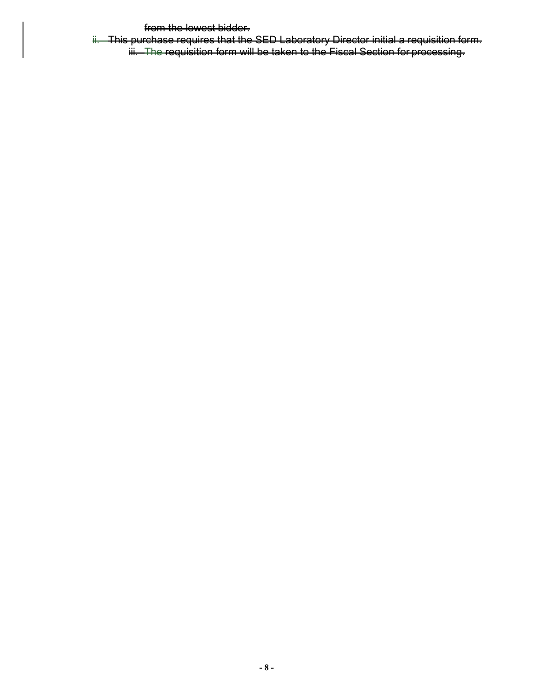from the lowest bidder.

ii. This purchase requires that the SED Laboratory Director initial a requisition form. iii. The requisition form will be taken to the Fiscal Section for processing.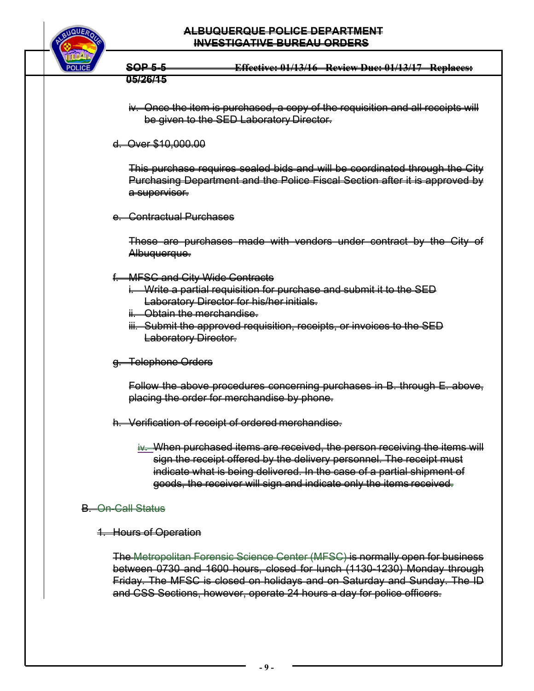#### **ALBUQUERQUE POLICE DEPARTMENT INVESTIGATIVE BUREAU ORDERS**



**SOP 5-5 Effective: 01/13/16 Review Due: 01/13/17 Replaces: 05/26/15** 

- iv. Once the item is purchased, a copy of the requisition and all receipts will be given to the SED Laboratory Director.
- d. Over \$10,000.00

This purchase requires sealed bids and will be coordinated through the City Purchasing Department and the Police Fiscal Section after it is approved by a supervisor.

e. Contractual Purchases

These are purchases made with vendors under contract by the City of Albuquerque.

- f. MFSC and City Wide Contracts
	- i. Write a partial requisition for purchase and submit it to the SED Laboratory Director for his/her initials.
	- ii. Obtain the merchandise.
	- iii. Submit the approved requisition, receipts, or invoices to the SED **Laboratory Director.**
- g. Telephone Orders

Follow the above procedures concerning purchases in B. through E. above, placing the order for merchandise by phone.

- h. Verification of receipt of ordered merchandise.
	- iv. When purchased items are received, the person receiving the items will sign the receipt offered by the delivery personnel. The receipt must indicate what is being delivered. In the case of a partial shipment of goods, the receiver will sign and indicate only the items received.

## B. On-Call Status

1. Hours of Operation

The Metropolitan Forensic Science Center (MFSC) is normally open for business between 0730 and 1600 hours, closed for lunch (1130-1230) Monday through Friday. The MFSC is closed on holidays and on Saturday and Sunday. The ID and CSS Sections, however, operate 24 hours a day for police officers.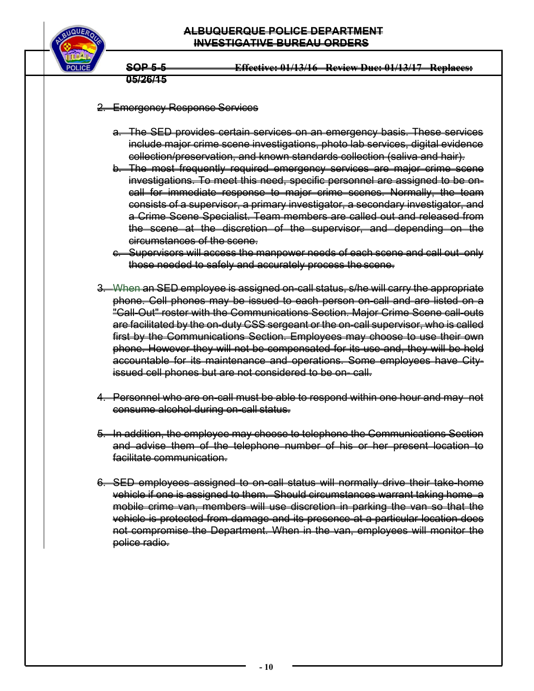

**SOP 5-5 Effective: 01/13/16 Review Due: 01/13/17 Replaces: 05/26/15** 

#### 2. Emergency Response Services

- a. The SED provides certain services on an emergency basis. These services include major crime scene investigations, photo lab services, digital evidence collection/preservation, and known standards collection (saliva and hair).
- b. The most frequently required emergency services are major crime scene investigations. To meet this need, specific personnel are assigned to be oncall for immediate response to major crime scenes. Normally, the team consists of a supervisor, a primary investigator, a secondary investigator, and a Crime Scene Specialist. Team members are called out and released from the scene at the discretion of the supervisor, and depending on the circumstances of the scene.
- c. Supervisors will access the manpower needs of each scene and call out only those needed to safely and accurately process the scene.
- 3. When an SED employee is assigned on-call status, s/he will carry the appropriate phone. Cell phones may be issued to each person on-call and are listed on a "Call-Out" roster with the Communications Section. Major Crime Scene call-outs are facilitated by the on-duty CSS sergeant or the on-call supervisor, who is called first by the Communications Section. Employees may choose to use their own phone. However they will not be compensated for its use and, they will be held accountable for its maintenance and operations. Some employees have Cityissued cell phones but are not considered to be on- call.
- 4. Personnel who are on-call must be able to respond within one hour and may not consume alcohol during on-call status.
- 5. In addition, the employee may choose to telephone the Communications Section and advise them of the telephone number of his or her present location to facilitate communication.
- 6. SED employees assigned to on-call status will normally drive their take-home vehicle if one is assigned to them. Should circumstances warrant taking home a mobile crime van, members will use discretion in parking the van so that the vehicle is protected from damage and its presence at a particular location does not compromise the Department. When in the van, employees will monitor the police radio.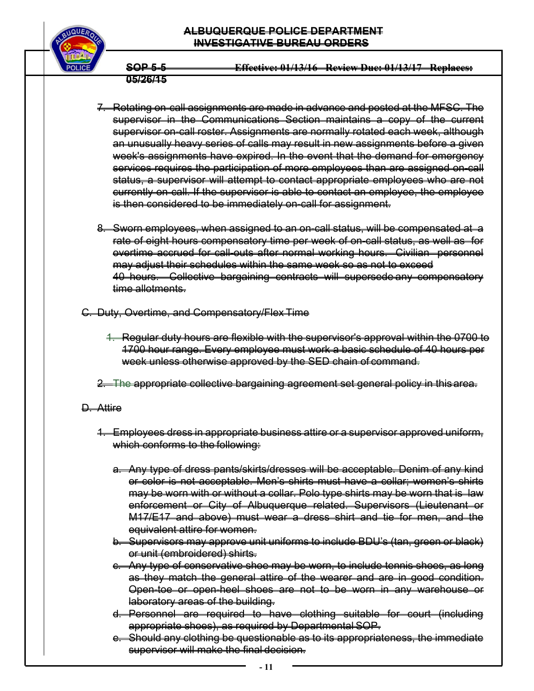#### **ALBUQUERQUE POLICE DEPARTMENT INVESTIGATIVE BUREAU ORDERS**



**SOP 5-5 Effective: 01/13/16 Review Due: 01/13/17 Replaces: 05/26/15** 

- 7. Rotating on-call assignments are made in advance and posted at the MFSC. The supervisor in the Communications Section maintains a copy of the current supervisor on-call roster. Assignments are normally rotated each week, although an unusually heavy series of calls may result in new assignments before a given week's assignments have expired. In the event that the demand for emergency services requires the participation of more employees than are assigned on-call status, a supervisor will attempt to contact appropriate employees who are not currently on-call. If the supervisor is able to contact an employee, the employee is then considered to be immediately on-call for assignment.
- 8. Sworn employees, when assigned to an on-call status, will be compensated at a rate of eight hours compensatory time per week of on-call status, as well as for overtime accrued for call-outs after normal working hours. Civilian personnel may adjust their schedules within the same week so as not to exceed 40 hours. Collective bargaining contracts will supersede any compensatory time allotments.

C. Duty, Overtime, and Compensatory/Flex Time

- 1. Regular duty hours are flexible with the supervisor's approval within the 0700 to 1700 hour range. Every employee must work a basic schedule of 40 hours per week unless otherwise approved by the SED chain of command.
- 2. The appropriate collective bargaining agreement set general policy in this area.

## D. Attire

- 1. Employees dress in appropriate business attire or a supervisor approved uniform, which conforms to the following:
	- a. Any type of dress pants/skirts/dresses will be acceptable. Denim of any kind or color is not acceptable. Men's shirts must have a collar; women's shirts may be worn with or without a collar. Polo type shirts may be worn that is law enforcement or City of Albuquerque related. Supervisors (Lieutenant or M17/E17 and above) must wear a dress shirt and tie for men, and the equivalent attire for women.
	- b. Supervisors may approve unit uniforms to include BDU's (tan, green or black) or unit (embroidered) shirts.
	- c. Any type of conservative shoe may be worn, to include tennis shoes, as long as they match the general attire of the wearer and are in good condition. Open-toe or open-heel shoes are not to be worn in any warehouse or laboratory areas of the building.
	- d. Personnel are required to have clothing suitable for court (including appropriate shoes), as required by Departmental SOP.
	- e. Should any clothing be questionable as to its appropriateness, the immediate supervisor will make the final decision.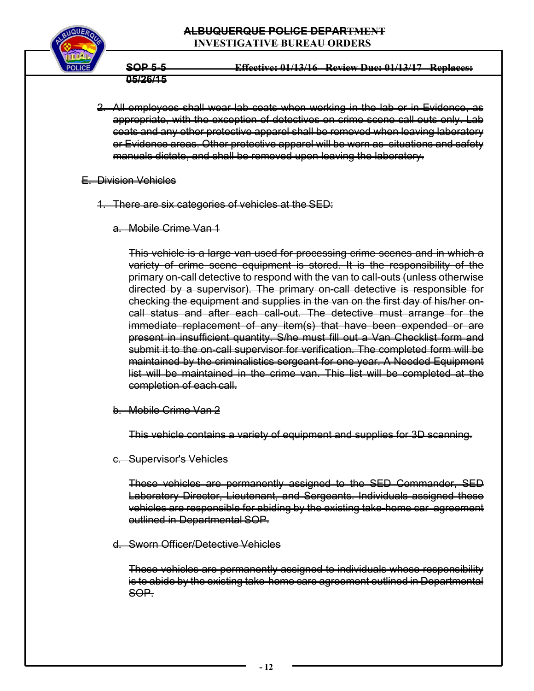## **ALBUQUERQUE POLICE DEPARTMENT INVESTIGATIVE BUREAU ORDERS**



**SOP 5-5 Effective: 01/13/16 Review Due: 01/13/17 Replaces: 05/26/15** 

- 2. All employees shall wear lab coats when working in the lab or in Evidence, as appropriate, with the exception of detectives on crime scene call outs only. Lab coats and any other protective apparel shall be removed when leaving laboratory or Evidence areas. Other protective apparel will be worn as situations and safety manuals dictate, and shall be removed upon leaving the laboratory.
- E. Division Vehicles
	- 1. There are six categories of vehicles at the SED:
		- a. Mobile Crime Van 1

This vehicle is a large van used for processing crime scenes and in which a variety of crime scene equipment is stored. It is the responsibility of the primary on-call detective to respond with the van to call-outs (unless otherwise directed by a supervisor). The primary on-call detective is responsible for checking the equipment and supplies in the van on the first day of his/her oncall status and after each call-out. The detective must arrange for the immediate replacement of any item(s) that have been expended or are present in insufficient quantity. S/he must fill out a Van Checklist form and submit it to the on-call supervisor for verification. The completed form will be maintained by the criminalistics sergeant for one year. A Needed Equipment list will be maintained in the crime van. This list will be completed at the completion of each call.

b. Mobile Crime Van 2

This vehicle contains a variety of equipment and supplies for 3D scanning.

c. Supervisor's Vehicles

These vehicles are permanently assigned to the SED Commander, SED Laboratory Director, Lieutenant, and Sergeants. Individuals assigned these vehicles are responsible for abiding by the existing take-home car agreement outlined in Departmental SOP.

d. Sworn Officer/Detective Vehicles

These vehicles are permanently assigned to individuals whose responsibility is to abide by the existing take-home care agreement outlined in Departmental SOP.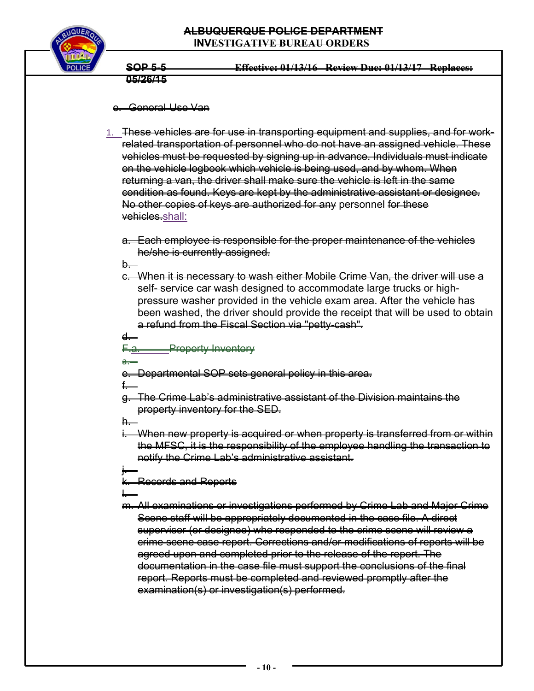

**SOP 5-5 Effective: 01/13/16 Review Due: 01/13/17 Replaces: 05/26/15** 

#### e. General-Use Van

1. These vehicles are for use in transporting equipment and supplies, and for workrelated transportation of personnel who do not have an assigned vehicle. These vehicles must be requested by signing up in advance. Individuals must indicate on the vehicle logbook which vehicle is being used, and by whom. When returning a van, the driver shall make sure the vehicle is left in the same condition as found. Keys are kept by the administrative assistant or designee. No other copies of keys are authorized for any personnel for these vehicles.shall:

a. Each employee is responsible for the proper maintenance of the vehicles he/she is currently assigned.

**b**.—

c. When it is necessary to wash either Mobile Crime Van, the driver will use a self- service car wash designed to accommodate large trucks or highpressure washer provided in the vehicle exam area. After the vehicle has been washed, the driver should provide the receipt that will be used to obtain a refund from the Fiscal Section via "petty-cash".

d.

F.a. Property Inventory

a.

e. Departmental SOP sets general policy in this area.

f.

g. The Crime Lab's administrative assistant of the Division maintains the property inventory for the SED.

h.

- When new property is acquired or when property is transferred from or within the MFSC, it is the responsibility of the employee handling the transaction to notify the Crime Lab's administrative assistant.
- j. k. Records and Reports
- l. m. All examinations or investigations performed by Crime Lab and Major Crime Scene staff will be appropriately documented in the case file. A direct supervisor (or designee) who responded to the crime scene will review a crime scene case report. Corrections and/or modifications of reports will be agreed upon and completed prior to the release of the report. The documentation in the case file must support the conclusions of the final report. Reports must be completed and reviewed promptly after the examination(s) or investigation(s) performed.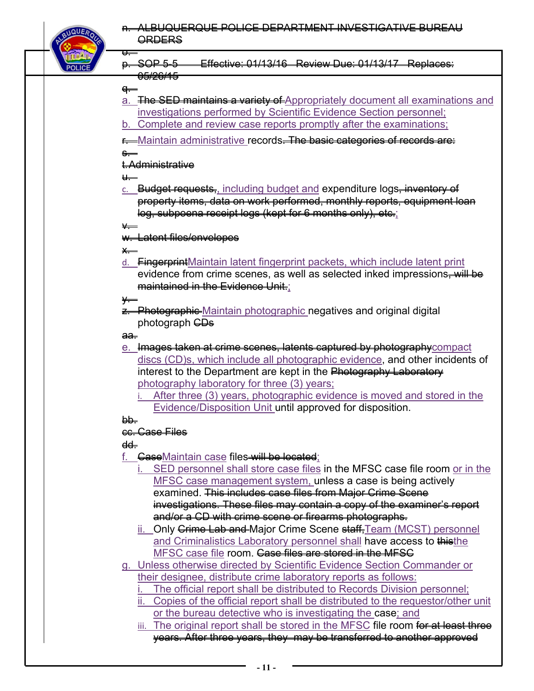

p. SOP 5-5 Effective: 01/13/16 Review Due: 01/13/17 Replaces:

# <del>q. –</del>

o.

- a. The SED maintains a variety of Appropriately document all examinations and investigations performed by Scientific Evidence Section personnel;
- b. Complete and review case reports promptly after the examinations;
- **r.** Maintain administrative records<del>. The basic categories of records are:</del>

## s.

t. Administrative

<del>05/26/15</del>

## u.

c. Budget requests, including budget and expenditure logs, inventory of property items, data on work performed, monthly reports, equipment loan log, subpoena receipt logs (kept for 6 months only), etc.;

 $\vee$ 

# w. Latent files/envelopes

x.

d. FingerprintMaintain latent fingerprint packets, which include latent print evidence from crime scenes, as well as selected inked impressions. Will be maintained in the Evidence Unit.;

 $\leftarrow$ 

z. Photographic Maintain photographic negatives and original digital photograph **CDs** 

### aa.

- e. Images taken at crime scenes, latents captured by photographycompact discs (CD)s, which include all photographic evidence, and other incidents of interest to the Department are kept in the Photography Laboratory photography laboratory for three (3) years;
	- i. After three (3) years, photographic evidence is moved and stored in the Evidence/Disposition Unit until approved for disposition.

# bb.

# cc. Case Files

# dd.

- f. GaseMaintain case files will be located;
	- SED personnel shall store case files in the MFSC case file room or in the MFSC case management system, unless a case is being actively examined. This includes case files from Major Crime Scene investigations. These files may contain a copy of the examiner's report and/or a CD with crime scene or firearms photographs.
	- ii. Only <del>Crime Lab and </del>Major Crime Scene <del>staff.</del>Team (MCST) personnel and Criminalistics Laboratory personnel shall have access to thisthe MFSC case file room. Gase files are stored in the MFSG
- g. Unless otherwise directed by Scientific Evidence Section Commander or their designee, distribute crime laboratory reports as follows:
	- The official report shall be distributed to Records Division personnel;
	- ii. Copies of the official report shall be distributed to the requestor/other unit or the bureau detective who is investigating the case; and
	- iii. The original report shall be stored in the MFSC file room for at least three years. After three years, they may be transferred to another approved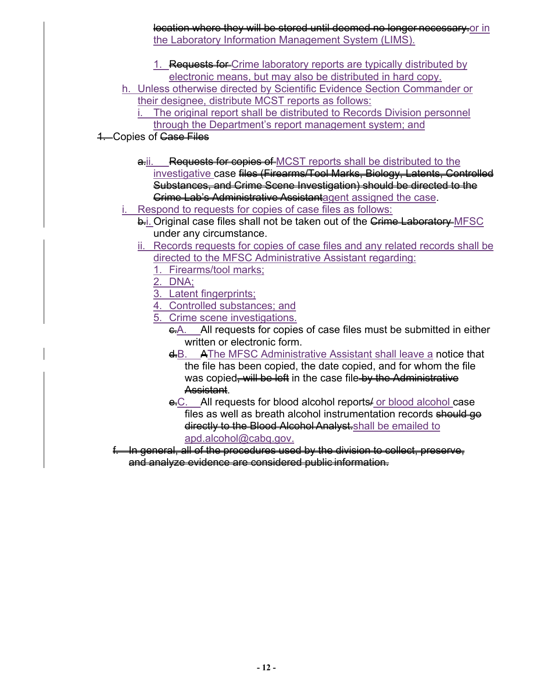location where they will be stored until deemed no longer necessary.or in the Laboratory Information Management System (LIMS).

- 1. Requests for Crime laboratory reports are typically distributed by electronic means, but may also be distributed in hard copy.
- h. Unless otherwise directed by Scientific Evidence Section Commander or their designee, distribute MCST reports as follows:
	- The original report shall be distributed to Records Division personnel through the Department's report management system; and
- **4. Copies of Case Files** 
	- a.i. Requests for copies of MCST reports shall be distributed to the investigative case files (Firearms/Tool Marks, Biology, Latents, Controlled Substances, and Crime Scene Investigation) should be directed to the **Crime Lab's Administrative Assistantagent assigned the case.**
	- Respond to requests for copies of case files as follows:
		- **b.i. Original case files shall not be taken out of the Crime Laboratory** MFSC under any circumstance.
		- ii. Records requests for copies of case files and any related records shall be directed to the MFSC Administrative Assistant regarding:
			- 1. Firearms/tool marks;
			- 2. DNA;
			- 3. Latent fingerprints;
			- 4. Controlled substances; and
			- 5. Crime scene investigations.
				- e.A. All requests for copies of case files must be submitted in either written or electronic form.
				- d.B. AThe MFSC Administrative Assistant shall leave a notice that the file has been copied, the date copied, and for whom the file was copied, will be left in the case file by the Administrative Assistant.
				- e.C. All requests for blood alcohol reports for blood alcohol case files as well as breath alcohol instrumentation records should go directly to the Blood Alcohol Analyst.shall be emailed to apd.alcohol@cabq.gov.
	- f. In general, all of the procedures used by the division to collect, preserve, and analyze evidence are considered public information.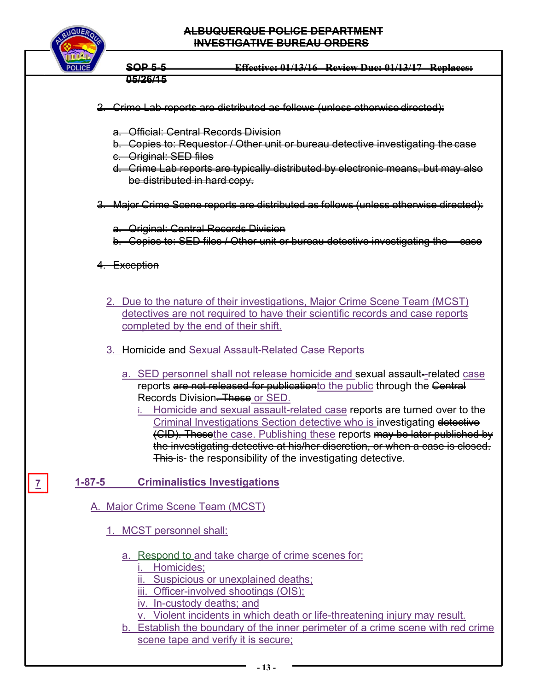

**7** 

**SOP 5-5 Effective: 01/13/16 Review Due: 01/13/17 Replaces: 05/26/15** 

| 2. Crime Lab reports are distributed as follows (unless otherwise directed):                                                                                                                                                                                                                                                                                                                                                                                                                                                                                                     |
|----------------------------------------------------------------------------------------------------------------------------------------------------------------------------------------------------------------------------------------------------------------------------------------------------------------------------------------------------------------------------------------------------------------------------------------------------------------------------------------------------------------------------------------------------------------------------------|
| a. Official: Central Records Division<br>b. Copies to: Requestor / Other unit or bureau detective investigating the case<br>e. Original: SED files<br>d. Crime Lab reports are typically distributed by electronic means, but may also<br>be distributed in hard copy.                                                                                                                                                                                                                                                                                                           |
| 3. Major Grime Scene reports are distributed as follows (unless otherwise directed):                                                                                                                                                                                                                                                                                                                                                                                                                                                                                             |
| a. Original: Central Records Division<br>b. Copies to: SED files / Other unit or bureau detective investigating the case                                                                                                                                                                                                                                                                                                                                                                                                                                                         |
| 4. Exception                                                                                                                                                                                                                                                                                                                                                                                                                                                                                                                                                                     |
| 2. Due to the nature of their investigations, Major Crime Scene Team (MCST)<br>detectives are not required to have their scientific records and case reports<br>completed by the end of their shift.                                                                                                                                                                                                                                                                                                                                                                             |
| 3. Homicide and Sexual Assault-Related Case Reports                                                                                                                                                                                                                                                                                                                                                                                                                                                                                                                              |
| a. SED personnel shall not release homicide and sexual assault-related case<br>reports are not released for publicationto the public through the Central<br>Records Division. These or SED.<br>i. Homicide and sexual assault-related case reports are turned over to the<br>Criminal Investigations Section detective who is investigating detective<br>(CID). Thesethe case. Publishing these reports may be later published by<br>the investigating detective at his/her discretion, or when a case is closed.<br>This is- the responsibility of the investigating detective. |
| <b>Criminalistics Investigations</b><br>$1 - 87 - 5$                                                                                                                                                                                                                                                                                                                                                                                                                                                                                                                             |
| A. Major Crime Scene Team (MCST)<br>1. MCST personnel shall:                                                                                                                                                                                                                                                                                                                                                                                                                                                                                                                     |
| a. Respond to and take charge of crime scenes for:<br>Homicides;<br>ii. Suspicious or unexplained deaths;<br>iii. Officer-involved shootings (OIS);<br>iv. In-custody deaths; and<br>v. Violent incidents in which death or life-threatening injury may result.<br>b. Establish the boundary of the inner perimeter of a crime scene with red crime<br>scene tape and verify it is secure;                                                                                                                                                                                       |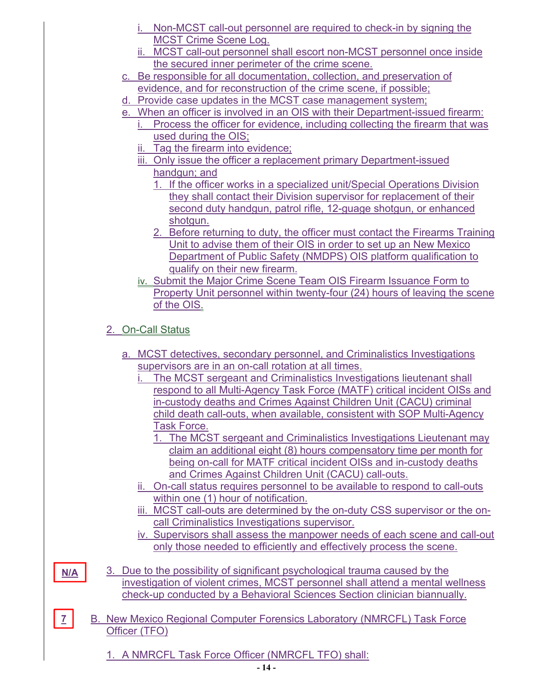- i. Non-MCST call-out personnel are required to check-in by signing the MCST Crime Scene Log.
- ii. MCST call-out personnel shall escort non-MCST personnel once inside the secured inner perimeter of the crime scene.
- c. Be responsible for all documentation, collection, and preservation of evidence, and for reconstruction of the crime scene, if possible;
- d. Provide case updates in the MCST case management system;
- e. When an officer is involved in an OIS with their Department-issued firearm: i. Process the officer for evidence, including collecting the firearm that was
	- used during the OIS;
	- ii. Tag the firearm into evidence;
	- iii. Only issue the officer a replacement primary Department-issued handgun; and
		- 1. If the officer works in a specialized unit/Special Operations Division they shall contact their Division supervisor for replacement of their second duty handgun, patrol rifle, 12-guage shotgun, or enhanced shotgun.
		- 2. Before returning to duty, the officer must contact the Firearms Training Unit to advise them of their OIS in order to set up an New Mexico Department of Public Safety (NMDPS) OIS platform qualification to qualify on their new firearm.
	- iv. Submit the Major Crime Scene Team OIS Firearm Issuance Form to Property Unit personnel within twenty-four (24) hours of leaving the scene of the OIS.

# 2. On-Call Status

- a. MCST detectives, secondary personnel, and Criminalistics Investigations supervisors are in an on-call rotation at all times.
	- The MCST sergeant and Criminalistics Investigations lieutenant shall respond to all Multi-Agency Task Force (MATF) critical incident OISs and in-custody deaths and Crimes Against Children Unit (CACU) criminal child death call-outs, when available, consistent with SOP Multi-Agency Task Force.
		- 1. The MCST sergeant and Criminalistics Investigations Lieutenant may claim an additional eight (8) hours compensatory time per month for being on-call for MATF critical incident OISs and in-custody deaths and Crimes Against Children Unit (CACU) call-outs.
	- ii. On-call status requires personnel to be available to respond to call-outs within one (1) hour of notification.
	- iii. MCST call-outs are determined by the on-duty CSS supervisor or the oncall Criminalistics Investigations supervisor.
	- iv. Supervisors shall assess the manpower needs of each scene and call-out only those needed to efficiently and effectively process the scene.

**N/A** 

**7** 

- 3. Due to the possibility of significant psychological trauma caused by the investigation of violent crimes, MCST personnel shall attend a mental wellness check-up conducted by a Behavioral Sciences Section clinician biannually.
- B. New Mexico Regional Computer Forensics Laboratory (NMRCFL) Task Force Officer (TFO)

1. A NMRCFL Task Force Officer (NMRCFL TFO) shall: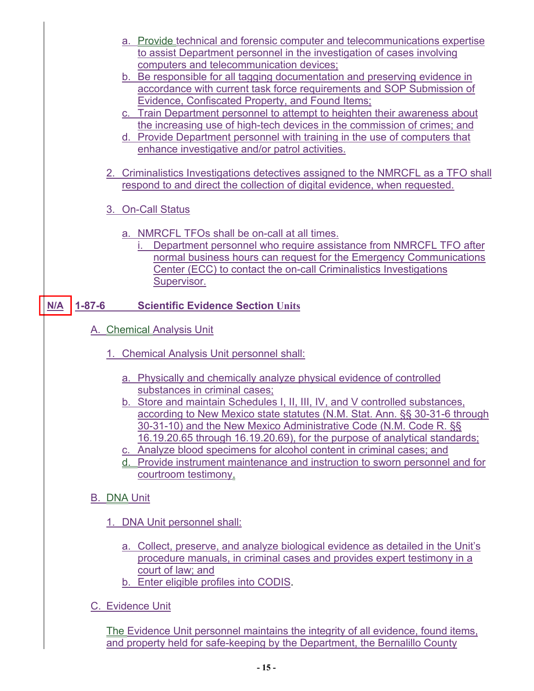- a. Provide technical and forensic computer and telecommunications expertise to assist Department personnel in the investigation of cases involving computers and telecommunication devices;
- b. Be responsible for all tagging documentation and preserving evidence in accordance with current task force requirements and SOP Submission of Evidence, Confiscated Property, and Found Items;
- c. Train Department personnel to attempt to heighten their awareness about the increasing use of high-tech devices in the commission of crimes; and
- d. Provide Department personnel with training in the use of computers that enhance investigative and/or patrol activities.
- 2. Criminalistics Investigations detectives assigned to the NMRCFL as a TFO shall respond to and direct the collection of digital evidence, when requested.
- 3. On-Call Status
	- a. NMRCFL TFOs shall be on-call at all times.
		- i. Department personnel who require assistance from NMRCFL TFO after normal business hours can request for the Emergency Communications Center (ECC) to contact the on-call Criminalistics Investigations Supervisor.

#### **15-6 Scientific Evidence Section Units N/A 1-87-6**

- A. Chemical Analysis Unit
	- 1. Chemical Analysis Unit personnel shall:
		- a. Physically and chemically analyze physical evidence of controlled substances in criminal cases;
		- b. Store and maintain Schedules I, II, III, IV, and V controlled substances, according to New Mexico state statutes (N.M. Stat. Ann. §§ 30-31-6 through 30-31-10) and the New Mexico Administrative Code (N.M. Code R. §§ 16.19.20.65 through 16.19.20.69), for the purpose of analytical standards;
		- c. Analyze blood specimens for alcohol content in criminal cases; and
		- d. Provide instrument maintenance and instruction to sworn personnel and for courtroom testimony.
- B. DNA Unit
	- 1. DNA Unit personnel shall:
		- a. Collect, preserve, and analyze biological evidence as detailed in the Unit's procedure manuals, in criminal cases and provides expert testimony in a court of law; and
		- b. Enter eligible profiles into CODIS.
- C. Evidence Unit

The Evidence Unit personnel maintains the integrity of all evidence, found items, and property held for safe-keeping by the Department, the Bernalillo County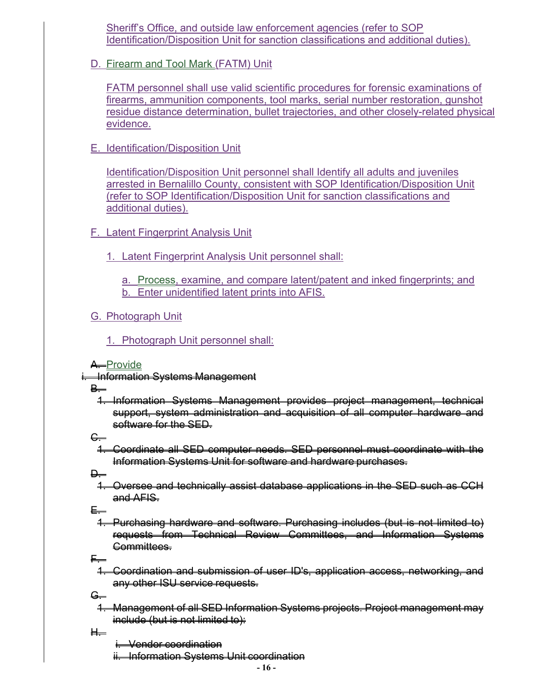Sheriff's Office, and outside law enforcement agencies (refer to SOP Identification/Disposition Unit for sanction classifications and additional duties).

D. Firearm and Tool Mark (FATM) Unit

FATM personnel shall use valid scientific procedures for forensic examinations of firearms, ammunition components, tool marks, serial number restoration, gunshot residue distance determination, bullet trajectories, and other closely-related physical evidence.

E. Identification/Disposition Unit

Identification/Disposition Unit personnel shall Identify all adults and juveniles arrested in Bernalillo County, consistent with SOP Identification/Disposition Unit (refer to SOP Identification/Disposition Unit for sanction classifications and additional duties).

- F. Latent Fingerprint Analysis Unit
	- 1. Latent Fingerprint Analysis Unit personnel shall:

a. Process, examine, and compare latent/patent and inked fingerprints; and b. Enter unidentified latent prints into AFIS.

G. Photograph Unit

1. Photograph Unit personnel shall:

A. Provide

i. Information Systems Management

**B.** 

1. Information Systems Management provides project management, technical support, system administration and acquisition of all computer hardware and software for the SED.

C.

1. Coordinate all SED computer needs. SED personnel must coordinate with the Information Systems Unit for software and hardware purchases.

**D.** 

1. Oversee and technically assist database applications in the SED such as CCH and AFIS.

E.

1. Purchasing hardware and software. Purchasing includes (but is not limited to) requests from Technical Review Committees, and Information Systems Committees.

F.

- 1. Coordination and submission of user ID's, application access, networking, and any other ISU service requests.
- <del>G. -</del>
	- 1. Management of all SED Information Systems projects. Project management may include (but is not limited to):
- H.

i. Vendor coordination

ii. Information Systems Unit coordination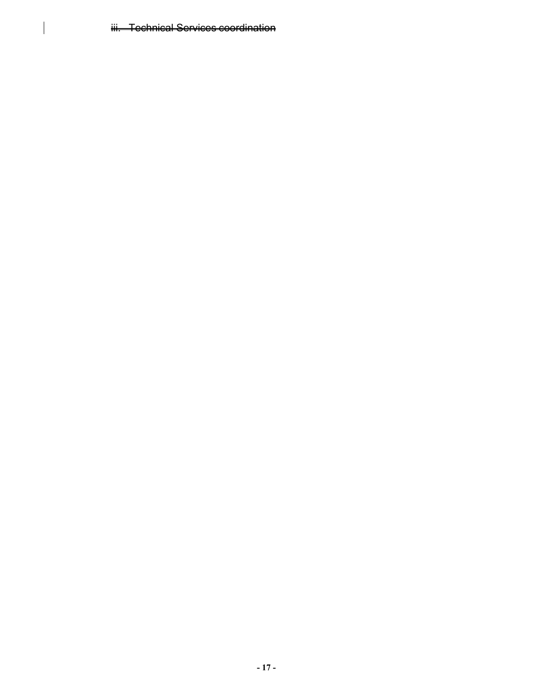iii. Technical Services coordination

 $\begin{array}{c} \rule{0pt}{2ex} \rule{0pt}{2ex} \rule{0pt}{2ex} \rule{0pt}{2ex} \rule{0pt}{2ex} \rule{0pt}{2ex} \rule{0pt}{2ex} \rule{0pt}{2ex} \rule{0pt}{2ex} \rule{0pt}{2ex} \rule{0pt}{2ex} \rule{0pt}{2ex} \rule{0pt}{2ex} \rule{0pt}{2ex} \rule{0pt}{2ex} \rule{0pt}{2ex} \rule{0pt}{2ex} \rule{0pt}{2ex} \rule{0pt}{2ex} \rule{0pt}{2ex} \rule{0pt}{2ex} \rule{0pt}{2ex} \rule{0pt}{2ex} \rule{0pt}{$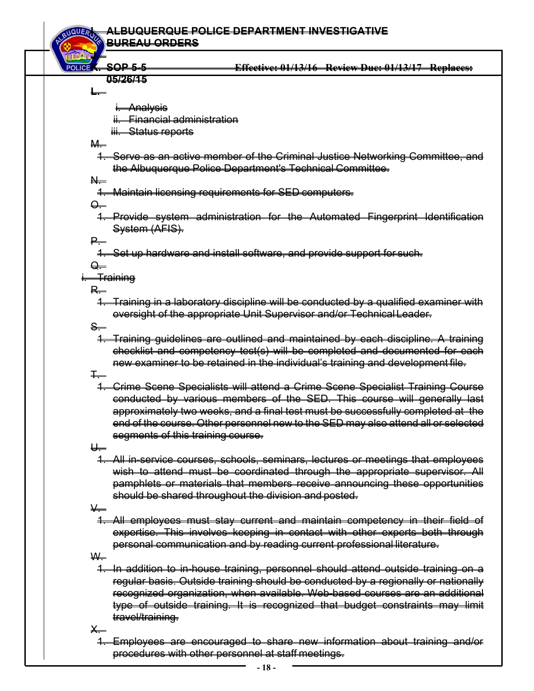#### **I. ALBUQUERQUE POLICE DEPARTMENT INVESTIGATIVE BUREAU ORDERS**

#### **K. SOP 5-5 Effective: 01/13/16 Review Due: 01/13/17 Replaces: 05/26/15**

**L.** 

**J.** 

i. Analysis

ii. Financial administration

iii. Status reports

M.

1. Serve as an active member of the Criminal Justice Networking Committee, and the Albuquerque Police Department's Technical Committee.

N.

1. Maintain licensing requirements for SED computers.

<del>Q. .</del>

1. Provide system administration for the Automated Fingerprint Identification System (AFIS).

P.

1. Set up hardware and install software, and provide support for such.

 $\rightarrow$ 

<del>Training</del>

R.

1. Training in a laboratory discipline will be conducted by a qualified examiner with oversight of the appropriate Unit Supervisor and/or Technical Leader.

<del>S.</del>

1. Training guidelines are outlined and maintained by each discipline. A training checklist and competency test(s) will be completed and documented for each new examiner to be retained in the individual's training and development file.

 $\overline{+}$ 

1. Crime Scene Specialists will attend a Crime Scene Specialist Training Course conducted by various members of the SED. This course will generally last approximately two weeks, and a final test must be successfully completed at the end of the course. Other personnel new to the SED may also attend all or selected segments of this training course.

U.

1. All in-service courses, schools, seminars, lectures or meetings that employees wish to attend must be coordinated through the appropriate supervisor. All pamphlets or materials that members receive announcing these opportunities should be shared throughout the division and posted.

V.

1. All employees must stay current and maintain competency in their field of expertise. This involves keeping in contact with other experts both through personal communication and by reading current professional literature.

W.

1. In addition to in-house training, personnel should attend outside training on a regular basis. Outside training should be conducted by a regionally or nationally recognized organization, when available. Web-based courses are an additional type of outside training. It is recognized that budget constraints may limit travel/training.

 $\times$ 

1. Employees are encouraged to share new information about training and/or procedures with other personnel at staff meetings.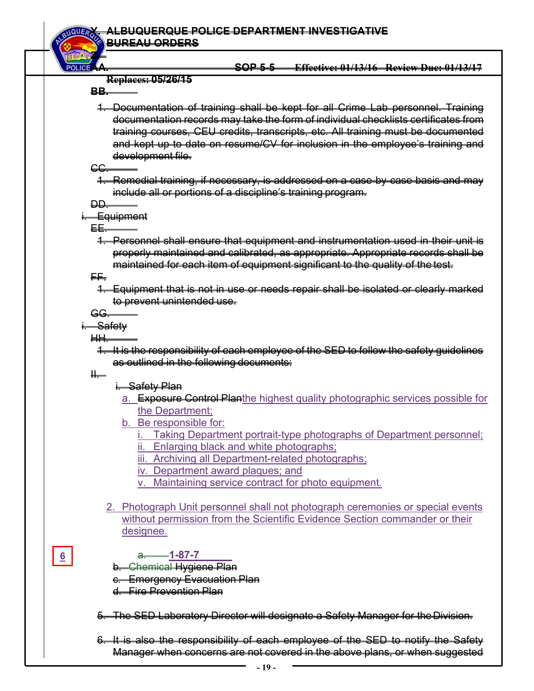**Z.** 

## **AA. SOP 5-5 Effective: 01/13/16 Review Due: 01/13/17**

#### **Replaces: 05/26/15**

**BB.** 

1. Documentation of training shall be kept for all Crime Lab personnel. Training documentation records may take the form of individual checklists certificates from training courses, CEU credits, transcripts, etc. All training must be documented and kept up to date on resume/CV for inclusion in the employee's training and development file.

CC.

1. Remedial training, if necessary, is addressed on a case-by-case basis and may include all or portions of a discipline's training program.

DD.

# **Equipment**

EE.

1. Personnel shall ensure that equipment and instrumentation used in their unit is properly maintained and calibrated, as appropriate. Appropriate records shall be maintained for each item of equipment significant to the quality of the test.

FF.

1. Equipment that is not in use or needs repair shall be isolated or clearly marked to prevent unintended use.

GG.

<del>Safety</del>

HH.

1. It is the responsibility of each employee of the SED to follow the safety guidelines as outlined in the following documents:

II.

**6** 

- i. Safety Plan
- a. Exposure Control Planthe highest quality photographic services possible for the Department;
- b. Be responsible for:
	- Taking Department portrait-type photographs of Department personnel;
	- ii. Enlarging black and white photographs;
	- iii. Archiving all Department-related photographs;
	- iv. Department award plaques; and
	- v. Maintaining service contract for photo equipment.
- 2. Photograph Unit personnel shall not photograph ceremonies or special events without permission from the Scientific Evidence Section commander or their designee.

# a. **1-87-7**

- b. Chemical Hygiene Plan
- c. Emergency Evacuation Plan
- d. Fire Prevention Plan
- 5. The SED Laboratory Director will designate a Safety Manager for the Division.
- 6. It is also the responsibility of each employee of the SED to notify the Safety Manager when concerns are not covered in the above plans, or when suggested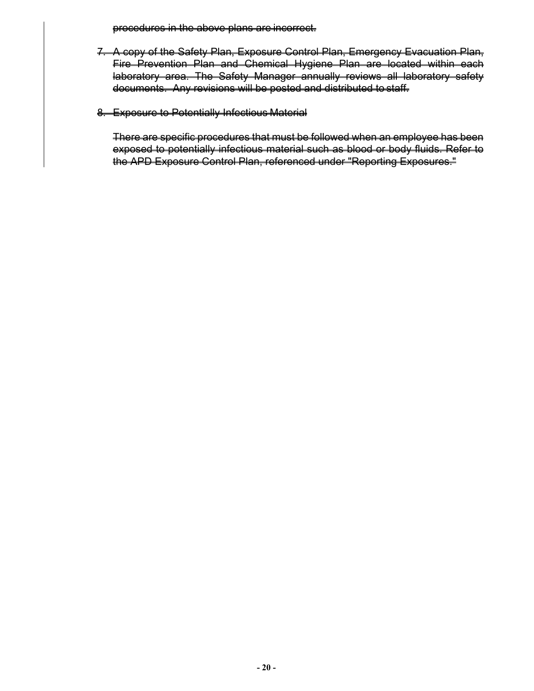procedures in the above plans are incorrect.

- 7. A copy of the Safety Plan, Exposure Control Plan, Emergency Evacuation Plan, Fire Prevention Plan and Chemical Hygiene Plan are located within each laboratory area. The Safety Manager annually reviews all laboratory safety documents. Any revisions will be posted and distributed to staff.
- 8. Exposure to Potentially Infectious Material

There are specific procedures that must be followed when an employee has been exposed to potentially infectious material such as blood or body fluids. Refer to the APD Exposure Control Plan, referenced under "Reporting Exposures."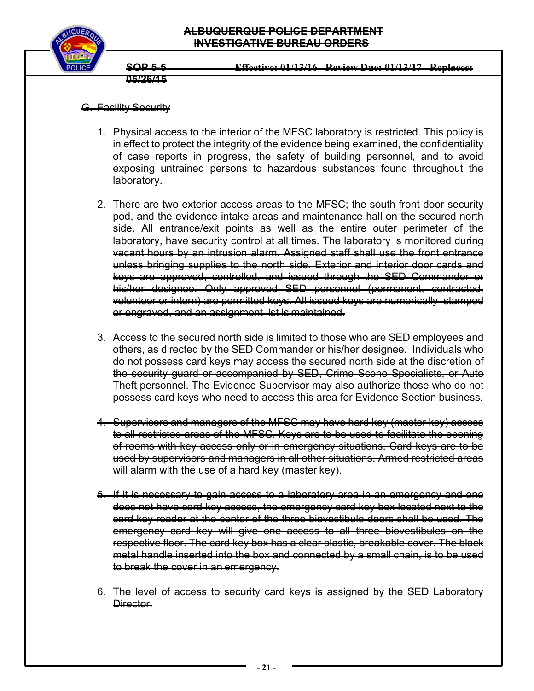



- G. Facility Security
	- 1. Physical access to the interior of the MFSC laboratory is restricted. This policy is in effect to protect the integrity of the evidence being examined, the confidentiality of case reports in progress, the safety of building personnel, and to avoid exposing untrained persons to hazardous substances found throughout the laboratory.
	- 2. There are two exterior access areas to the MFSC; the south front door security pod, and the evidence intake areas and maintenance hall on the secured north side. All entrance/exit points as well as the entire outer perimeter of the laboratory, have security control at all times. The laboratory is monitored during vacant hours by an intrusion alarm. Assigned staff shall use the front entrance unless bringing supplies to the north side. Exterior and interior door cards and keys are approved, controlled, and issued through the SED Commander or his/her designee. Only approved SED personnel (permanent, contracted, volunteer or intern) are permitted keys. All issued keys are numerically stamped or engraved, and an assignment list is maintained.
	- 3. Access to the secured north side is limited to those who are SED employees and others, as directed by the SED Commander or his/her designee. Individuals who do not possess card keys may access the secured north side at the discretion of the security guard or accompanied by SED, Crime Scene Specialists, or Auto Theft personnel. The Evidence Supervisor may also authorize those who do not possess card keys who need to access this area for Evidence Section business.
	- 4. Supervisors and managers of the MFSC may have hard key (master key) access to all restricted areas of the MFSC. Keys are to be used to facilitate the opening of rooms with key access only or in emergency situations. Card keys are to be used by supervisors and managers in all other situations. Armed restricted areas will alarm with the use of a hard key (master key).
	- 5. If it is necessary to gain access to a laboratory area in an emergency and one does not have card key access, the emergency card key box located next to the card key reader at the center of the three biovestibule doors shall be used. The emergency card key will give one access to all three biovestibules on the respective floor. The card key box has a clear plastic, breakable cover. The black metal handle inserted into the box and connected by a small chain, is to be used to break the cover in an emergency.
	- 6. The level of access to security card keys is assigned by the SED Laboratory Director.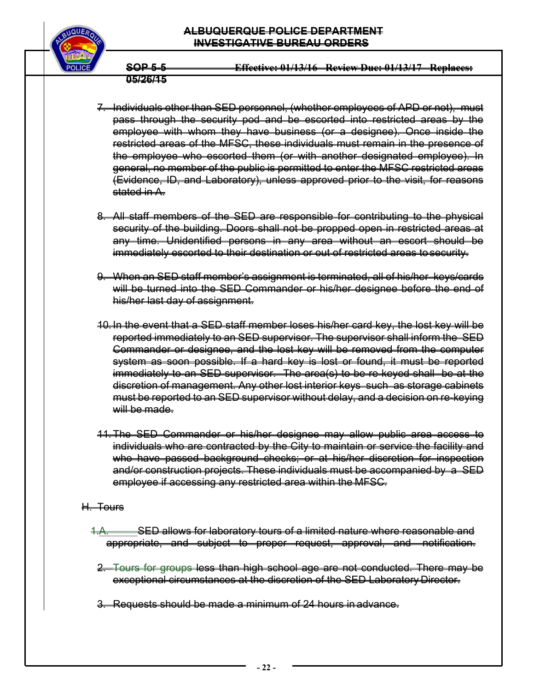## **ALBUQUERQUE POLICE DEPARTMENT INVESTIGATIVE BUREAU ORDERS**



**SOP 5-5 Effective: 01/13/16 Review Due: 01/13/17 Replaces: 05/26/15** 

- 7. Individuals other than SED personnel, (whether employees of APD or not), must pass through the security pod and be escorted into restricted areas by the employee with whom they have business (or a designee). Once inside the restricted areas of the MFSC, these individuals must remain in the presence of the employee who escorted them (or with another designated employee). In general, no member of the public is permitted to enter the MFSC restricted areas (Evidence, ID, and Laboratory), unless approved prior to the visit, for reasons stated in A.
- 8. All staff members of the SED are responsible for contributing to the physical security of the building. Doors shall not be propped open in restricted areas at any time. Unidentified persons in any area without an escort should be immediately escorted to their destination or out of restricted areas to security.
- 9. When an SED staff member's assignment is terminated, all of his/her keys/cards will be turned into the SED Commander or his/her designee before the end of his/her last day of assignment.
- 10. In the event that a SED staff member loses his/her card key, the lost key will be reported immediately to an SED supervisor. The supervisor shall inform the SED Commander or designee, and the lost key will be removed from the computer system as soon possible. If a hard key is lost or found, it must be reported immediately to an SED supervisor. The area(s) to be re-keyed shall be at the discretion of management. Any other lost interior keys such as storage cabinets must be reported to an SED supervisor without delay, and a decision on re-keying will be made.
- 11. The SED Commander or his/her designee may allow public area access to individuals who are contracted by the City to maintain or service the facility and who have passed background checks; or at his/her discretion for inspection and/or construction projects. These individuals must be accompanied by a SED employee if accessing any restricted area within the MFSC.

#### H. Tours

- 1.A. SED allows for laboratory tours of a limited nature where reasonable and appropriate, and subject to proper request, approval, and notification.
- 2. Tours for groups less than high school age are not conducted. There may be exceptional circumstances at the discretion of the SED Laboratory Director.
- 3. Requests should be made a minimum of 24 hours in advance.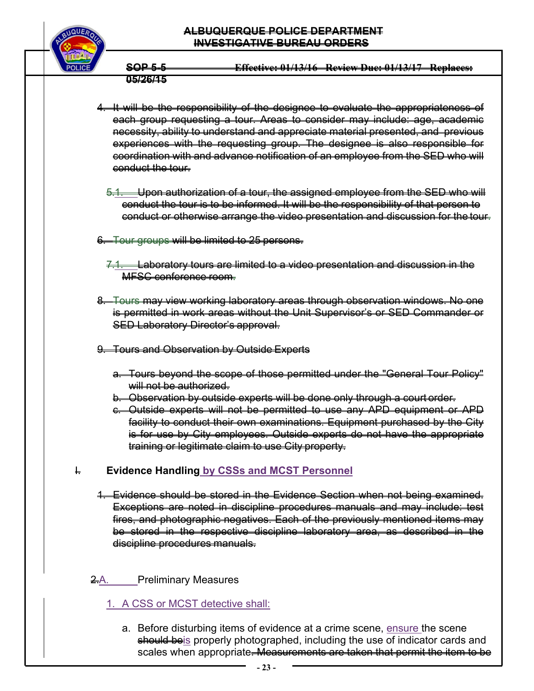## **ALBUQUERQUE POLICE DEPARTMENT INVESTIGATIVE BUREAU ORDERS**



**SOP 5-5 Effective: 01/13/16 Review Due: 01/13/17 Replaces: 05/26/15** 

4. It will be the responsibility of the designee to evaluate the appropriateness of each group requesting a tour. Areas to consider may include: age, academic necessity, ability to understand and appreciate material presented, and previous experiences with the requesting group. The designee is also responsible for coordination with and advance notification of an employee from the SED who will conduct the tour.

- 5.1. Upon authorization of a tour, the assigned employee from the SED who will conduct the tour is to be informed. It will be the responsibility of that person to conduct or otherwise arrange the video presentation and discussion for the tour.
- 6. Tour groups will be limited to 25 persons.
	- 7.1. Laboratory tours are limited to a video presentation and discussion in the MFSC conference room.
- 8. Tours may view working laboratory areas through observation windows. No one is permitted in work areas without the Unit Supervisor's or SED Commander or SED Laboratory Director's approval.
- 9. Tours and Observation by Outside Experts
	- a. Tours beyond the scope of those permitted under the "General Tour Policy" will not be authorized.
	- b. Observation by outside experts will be done only through a court order.
	- c. Outside experts will not be permitted to use any APD equipment or APD facility to conduct their own examinations. Equipment purchased by the City is for use by City employees. Outside experts do not have the appropriate training or legitimate claim to use City property.

# **EXECTE:** Evidence Handling by CSSs and MCST Personnel

1. Evidence should be stored in the Evidence Section when not being examined. Exceptions are noted in discipline procedures manuals and may include: test fires, and photographic negatives. Each of the previously mentioned items may be stored in the respective discipline laboratory area, as described in the discipline procedures manuals.

# <del>2.</del>A. Preliminary Measures

# 1. A CSS or MCST detective shall:

a. Before disturbing items of evidence at a crime scene, ensure the scene should beis properly photographed, including the use of indicator cards and scales when appropriate. Measurements are taken that permit the item to be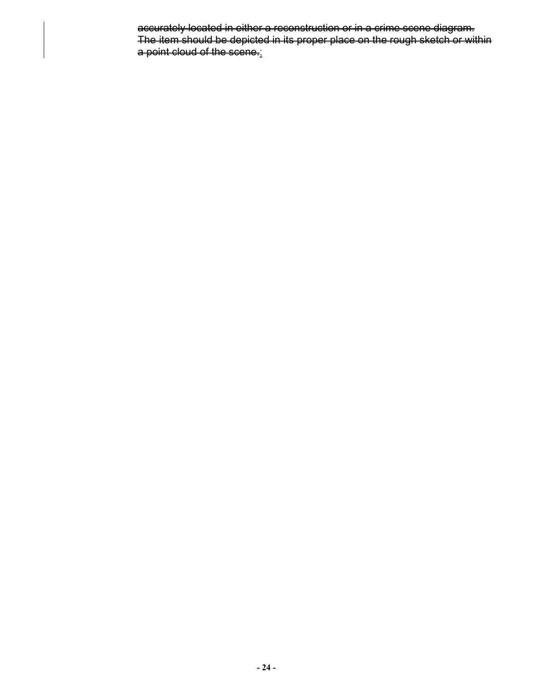accurately located in either a reconstruction or in a crime scene diagram. The item should be depicted in its proper place on the rough sketch or within a point cloud of the scene.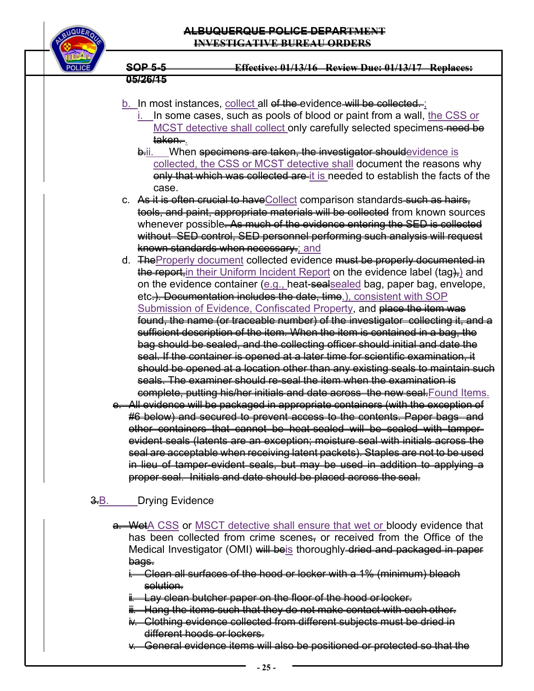

### b. In most instances, collect all of the evidence will be collected.

- i. In some cases, such as pools of blood or paint from a wall, the CSS or MCST detective shall collect only carefully selected specimens-need be taken.
- **b.ii.** When specimens are taken, the investigator shouldevidence is collected, the CSS or MCST detective shall document the reasons why only that which was collected are it is needed to establish the facts of the case.
- c. As it is often crucial to have Collect comparison standards such as hairs, tools, and paint, appropriate materials will be collected from known sources whenever possible. As much of the evidence entering the SED is collected without SED control, SED personnel performing such analysis will request known standards when necessary.; and
- d. The Properly document collected evidence must be properly documented in the report, in their Uniform Incident Report on the evidence label (tag), and on the evidence container (e.g., heat-sealsealed bag, paper bag, envelope, etc.). Documentation includes the date, time.), consistent with SOP Submission of Evidence, Confiscated Property, and place the item was found, the name (or traceable number) of the investigator collecting it, and a sufficient description of the item. When the item is contained in a bag, the bag should be sealed, and the collecting officer should initial and date the seal. If the container is opened at a later time for scientific examination, it should be opened at a location other than any existing seals to maintain such seals. The examiner should re-seal the item when the examination is complete, putting his/her initials and date across the new seal.Found Items.
- e. All evidence will be packaged in appropriate containers (with the exception of #6 below) and secured to prevent access to the contents. Paper bags and other containers that cannot be heat-sealed will be sealed with tamperevident seals (latents are an exception; moisture seal with initials across the seal are acceptable when receiving latent packets). Staples are not to be used in lieu of tamper-evident seals, but may be used in addition to applying a proper seal. Initials and date should be placed across the seal.

# <del>3.</del>B.\_\_\_\_\_Drying Evidence

- **a. Wet**A CSS or MSCT detective shall ensure that wet or bloody evidence that has been collected from crime scenes, or received from the Office of the Medical Investigator (OMI) will beis thoroughly dried and packaged in paper bags.
	- i. Clean all surfaces of the hood or locker with a 1% (minimum) bleach solution.
	- i. Lay clean butcher paper on the floor of the hood or locker.
	- $\ddot{\textbf{u}}$ . Hang the items such that they do not make contact with each other.
	- iv. Clothing evidence collected from different subjects must be dried in different hoods or lockers.
	- v. General evidence items will also be positioned or protected so that the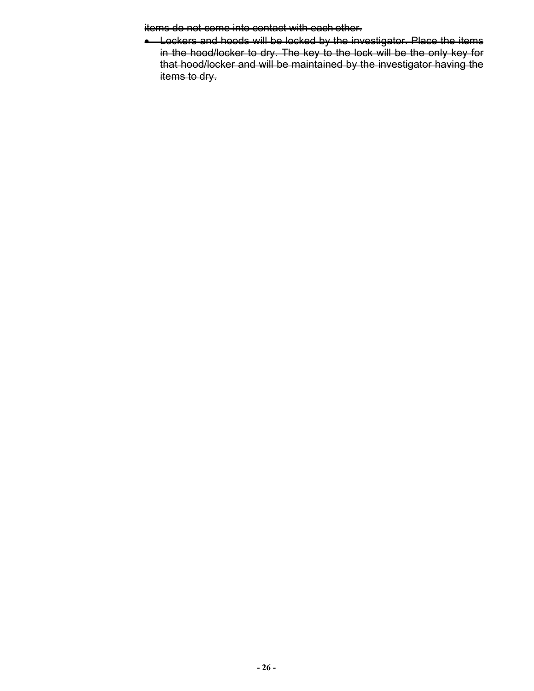items do not come into contact with each other.

**.** Lockers and hoods will be locked by the investigator. Place the items in the hood/locker to dry. The key to the lock will be the only key for that hood/locker and will be maintained by the investigator having the items to dry.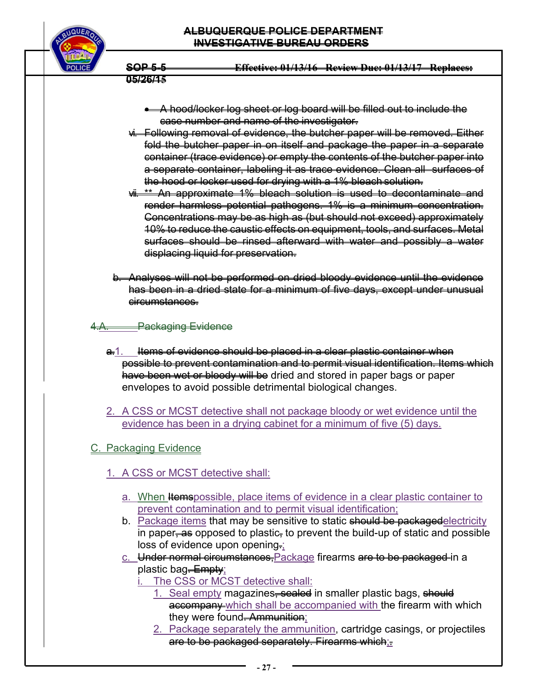## **ALBUQUERQUE POLICE DEPARTMENT INVESTIGATIVE BUREAU ORDERS**



**SOP 5-5 Effective: 01/13/16 Review Due: 01/13/17 Replaces:** 

# **05/26/15**

- A hood/locker log sheet or log board will be filled out to include the case number and name of the investigator.
- vi. Following removal of evidence, the butcher paper will be removed. Either fold the butcher paper in on itself and package the paper in a separate container (trace evidence) or empty the contents of the butcher paper into a separate container, labeling it as trace evidence. Clean all surfaces of the hood or locker used for drying with a 1% bleach solution.
- vii. \*\* An approximate 1% bleach solution is used to decontaminate and render harmless potential pathogens. 1% is a minimum concentration. Concentrations may be as high as (but should not exceed) approximately 10% to reduce the caustic effects on equipment, tools, and surfaces. Metal surfaces should be rinsed afterward with water and possibly a water displacing liquid for preservation.
- b. Analyses will not be performed on dried bloody evidence until the evidence has been in a dried state for a minimum of five days, except under unusual circumstances.

# 4.A. Packaging Evidence

- a.1. Items of evidence should be placed in a clear plastic container when possible to prevent contamination and to permit visual identification. Items which have been wet or bloody will be dried and stored in paper bags or paper envelopes to avoid possible detrimental biological changes.
- 2. A CSS or MCST detective shall not package bloody or wet evidence until the evidence has been in a drying cabinet for a minimum of five (5) days.

# C. Packaging Evidence

- 1. A CSS or MCST detective shall:
	- a. When Hemspossible, place items of evidence in a clear plastic container to prevent contamination and to permit visual identification;
	- b. Package items that may be sensitive to static should be packagedelectricity in paper– $\frac{a}{x}$  opposed to plastic<sub></sub> to prevent the build-up of static and possible loss of evidence upon opening.
	- c. Under normal circumstances, Package firearms are to be packaged in a plastic bag<del>. Empty</del>;
		- The CSS or MCST detective shall:
			- 1. Seal empty magazines, sealed in smaller plastic bags, should accompany which shall be accompanied with the firearm with which they were found. Ammunition;
			- 2. Package separately the ammunition, cartridge casings, or projectiles are to be packaged separately. Firearms which;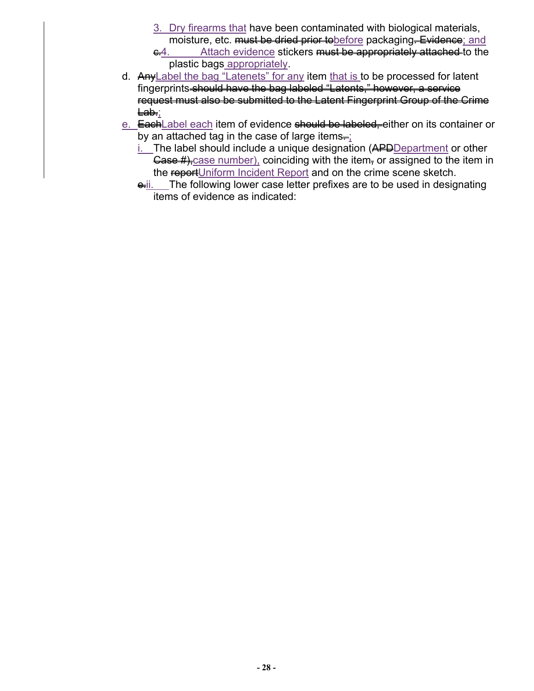- 3. Dry firearms that have been contaminated with biological materials, moisture, etc. must be dried prior to before packaging. Evidence; and
- e.4. Attach evidence stickers must be appropriately attached to the plastic bags appropriately.
- d. Any Label the bag "Latenets" for any item that is to be processed for latent fingerprints should have the bag labeled "Latents," however, a service request must also be submitted to the Latent Fingerprint Group of the Crime Lab.;
- e. EachLabel each item of evidence should be labeled, either on its container or by an attached tag in the case of large items $=$ ;
	- $i.$  The label should include a unique designation ( $APD$ Department or other Gase  $#$ }, case number), coinciding with the item, or assigned to the item in the reportUniform Incident Report and on the crime scene sketch.
	- e.ii. The following lower case letter prefixes are to be used in designating items of evidence as indicated: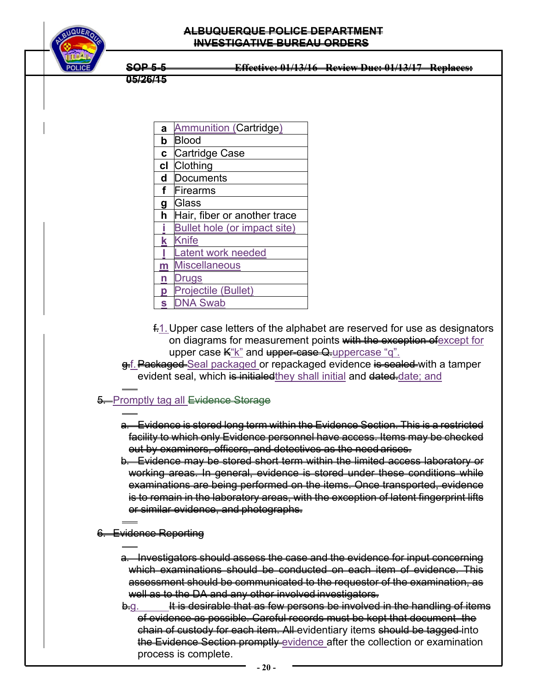

**05/26/15** 

| a            | Ammunition (Cartridge)       |
|--------------|------------------------------|
| b            | <b>Blood</b>                 |
| $\mathbf{C}$ | Cartridge Case               |
| cl           | Clothing                     |
| d            | <b>Documents</b>             |
| f            | Firearms                     |
| g            | Glass                        |
| h            | Hair, fiber or another trace |
|              | Bullet hole (or impact site) |
| k            | Knife                        |
|              | Latent work needed           |
| m            | <b>Miscellaneous</b>         |
| n            | Drugs                        |
| p            | Projectile (Bullet)          |
| S            | <b>DNA Swab</b>              |

- $f$ . Upper case letters of the alphabet are reserved for use as designators on diagrams for measurement points with the exception of except for upper case  $K$ "k" and upper-case Q-uppercase "q".
- g.f. Packaged Seal packaged or repackaged evidence is sealed with a tamper evident seal, which is initialed they shall initial and dated date; and

#### $\overline{a}$ **5.** Promptly tag all Evidence Storage

- l a. Evidence is stored long term within the Evidence Section. This is a restricted facility to which only Evidence personnel have access. Items may be checked out by examiners, officers, and detectives as the need arises.
- b. Evidence may be stored short term within the limited access laboratory or working areas. In general, evidence is stored under these conditions while examinations are being performed on the items. Once transported, evidence is to remain in the laboratory areas, with the exception of latent fingerprint lifts or similar evidence, and photographs.
- l 6. Evidence Reporting

l

- a. Investigators should assess the case and the evidence for input concerning which examinations should be conducted on each item of evidence. This assessment should be communicated to the requestor of the examination, as well as to the DA and any other involved investigators.
- $\theta$ -g. It is desirable that as few persons be involved in the handling of items of evidence as possible. Careful records must be kept that document the chain of custody for each item. All evidentiary items should be tagged into the Evidence Section promptly evidence after the collection or examination process is complete.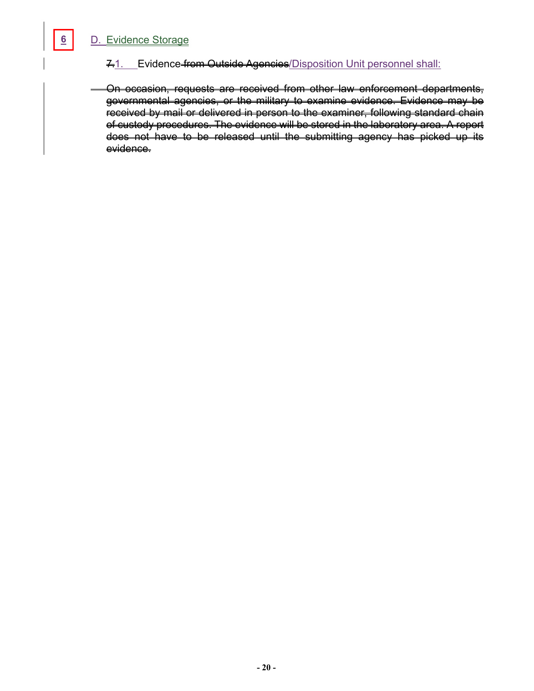# D. Evidence Storage

## 7.1. Evidence from Outside Agencies/Disposition Unit personnel shall:

 On occasion, requests are received from other law enforcement departments, governmental agencies, or the military to examine evidence. Evidence may be received by mail or delivered in person to the examiner, following standard chain of custody procedures. The evidence will be stored in the laboratory area. A report does not have to be released until the submitting agency has picked up its evidence.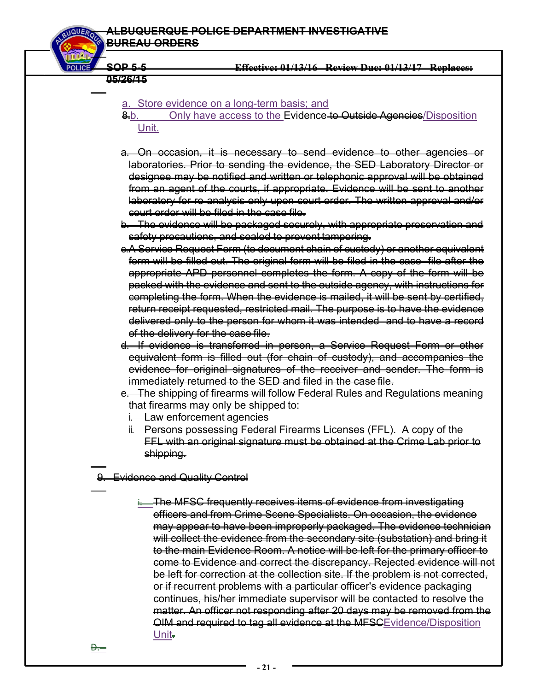#### **ALBUQUERQUE POLICE DEPARTMENT INVESTIGATIVE BUREAU ORDERS**

 **SOP 5-5 Effective: 01/13/16 Review Due: 01/13/17 Replaces:** 

**05/26/15** 

l

l

D.

#### a. Store evidence on a long-term basis; and

- 8.b. Only have access to the Evidence to Outside Agencies/Disposition Unit.
- a. On occasion, it is necessary to send evidence to other agencies or laboratories. Prior to sending the evidence, the SED Laboratory Director or designee may be notified and written or telephonic approval will be obtained from an agent of the courts, if appropriate. Evidence will be sent to another laboratory for re-analysis only upon court order. The written approval and/or court order will be filed in the case file.
- b. The evidence will be packaged securely, with appropriate preservation and safety precautions, and sealed to prevent tampering.
- c.A Service Request Form (to document chain of custody) or another equivalent form will be filled out. The original form will be filed in the case file after the appropriate APD personnel completes the form. A copy of the form will be packed with the evidence and sent to the outside agency, with instructions for completing the form. When the evidence is mailed, it will be sent by certified, return receipt requested, restricted mail. The purpose is to have the evidence delivered only to the person for whom it was intended and to have a record of the delivery for the case file.
- d. If evidence is transferred in person, a Service Request Form or other equivalent form is filled out (for chain of custody), and accompanies the evidence for original signatures of the receiver and sender. The form is immediately returned to the SED and filed in the case file.
- e. The shipping of firearms will follow Federal Rules and Regulations meaning that firearms may only be shipped to:
	- **Law enforcement agencies**
	- ii. Persons possessing Federal Firearms Licenses (FFL). A copy of the FFL with an original signature must be obtained at the Crime Lab prior to shipping.

9. Evidence and Quality Control

i. The MFSC frequently receives items of evidence from investigating officers and from Crime Scene Specialists. On occasion, the evidence may appear to have been improperly packaged. The evidence technician will collect the evidence from the secondary site (substation) and bring it to the main Evidence Room. A notice will be left for the primary officer to come to Evidence and correct the discrepancy. Rejected evidence will not be left for correction at the collection site. If the problem is not corrected, or if recurrent problems with a particular officer's evidence packaging continues, his/her immediate supervisor will be contacted to resolve the matter. An officer not responding after 20 days may be removed from the OIM and required to tag all evidence at the MFSCEvidence/Disposition Unit<sub>.</sub>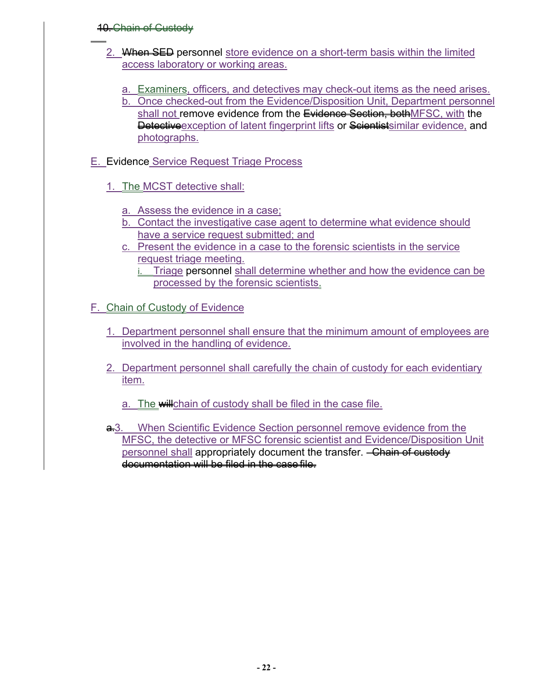## 10. Chain of Custody

 $\overline{a}$ 

- 2. When SED personnel store evidence on a short-term basis within the limited access laboratory or working areas.
	- a. Examiners, officers, and detectives may check-out items as the need arises.
	- b. Once checked-out from the Evidence/Disposition Unit, Department personnel shall not remove evidence from the Evidence Section, both MFSC, with the Detective exception of latent fingerprint lifts or Scientistsimilar evidence, and photographs.
- E. Evidence Service Request Triage Process
	- 1. The MCST detective shall:
		- a. Assess the evidence in a case;
		- b. Contact the investigative case agent to determine what evidence should have a service request submitted; and
		- c. Present the evidence in a case to the forensic scientists in the service request triage meeting.
			- i. Triage personnel shall determine whether and how the evidence can be processed by the forensic scientists.
- F. Chain of Custody of Evidence
	- 1. Department personnel shall ensure that the minimum amount of employees are involved in the handling of evidence.
	- 2. Department personnel shall carefully the chain of custody for each evidentiary item.
		- a. The willchain of custody shall be filed in the case file.
	- $\frac{1}{2}$ 3. When Scientific Evidence Section personnel remove evidence from the MFSC, the detective or MFSC forensic scientist and Evidence/Disposition Unit personnel shall appropriately document the transfer. Chain of custody documentation will be filed in the case file.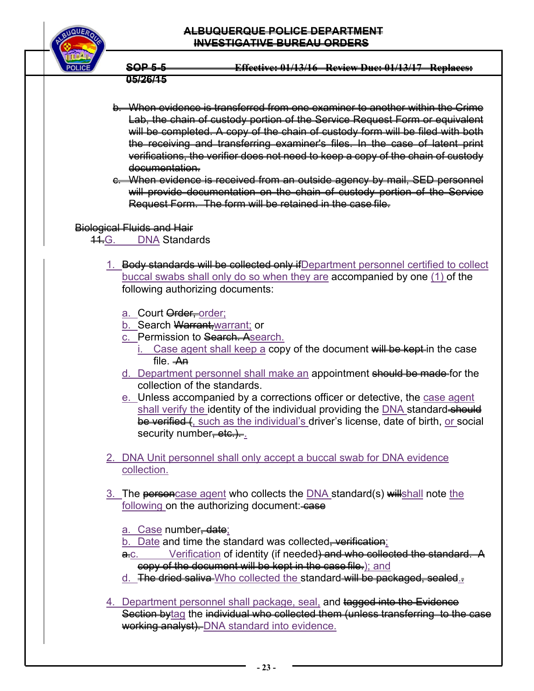## **ALBUQUERQUE POLICE DEPARTMENT INVESTIGATIVE BUREAU ORDERS**



**SOP 5-5 Effective: 01/13/16 Review Due: 01/13/17 Replaces: 05/26/15** 

b. When evidence is transferred from one examiner to another within the Crime Lab, the chain of custody portion of the Service Request Form or equivalent will be completed. A copy of the chain of custody form will be filed with both the receiving and transferring examiner's files. In the case of latent print verifications, the verifier does not need to keep a copy of the chain of custody documentation.

c. When evidence is received from an outside agency by mail, SED personnel will provide documentation on the chain of custody portion of the Service Request Form. The form will be retained in the case file.

## Biological Fluids and Hair

44.G. DNA Standards

- 1. Body standards will be collected only if Department personnel certified to collect buccal swabs shall only do so when they are accompanied by one (1) of the following authorizing documents:
	- a. Court **Order**, order;
	- b. Search Warrant, warrant; or
	- c. Permission to Search. Asearch.
		- $i.$  Case agent shall keep a copy of the document will be kept in the case file. An
	- d. Department personnel shall make an appointment should be made for the collection of the standards.
	- e. Unless accompanied by a corrections officer or detective, the case agent shall verify the identity of the individual providing the DNA standard-should be verified (, such as the individual's driver's license, date of birth, or social security number, etc.).
- 2. DNA Unit personnel shall only accept a buccal swab for DNA evidence collection.
- 3. The personcase agent who collects the DNA standard(s) will shall note the following on the authorizing document: case
	- a. Case number<del>, date</del>;
	- b. Date and time the standard was collected<del>, verification</del>;
	- a.c. Verification of identity (if needed) and who collected the standard. A copy of the document will be kept in the case file.); and
	- d. The dried saliva Who collected the standard will be packaged, sealed.
- 4. Department personnel shall package, seal, and tagged into the Evidence Section bytag the individual who collected them (unless transferring to the case working analyst). DNA standard into evidence.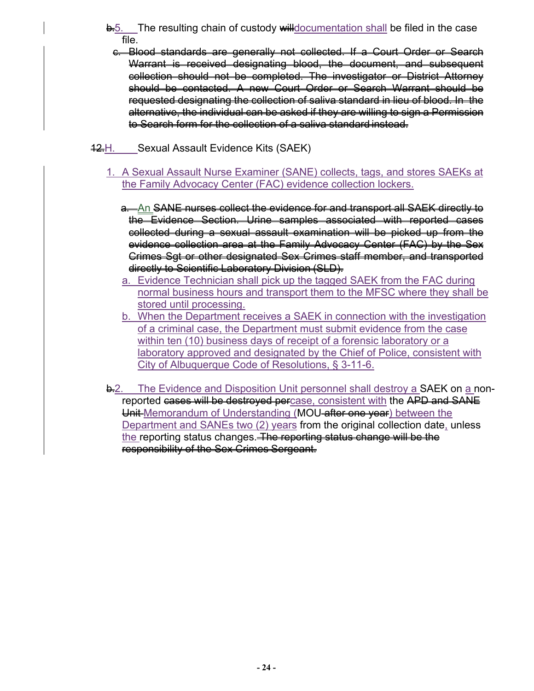- **b.**5. The resulting chain of custody willdocumentation shall be filed in the case file.
	- c. Blood standards are generally not collected. If a Court Order or Search Warrant is received designating blood, the document, and subsequent collection should not be completed. The investigator or District Attorney should be contacted. A new Court Order or Search Warrant should be requested designating the collection of saliva standard in lieu of blood. In the alternative, the individual can be asked if they are willing to sign a Permission to Search form for the collection of a saliva standard instead.
- 42.H. Sexual Assault Evidence Kits (SAEK)
	- 1. A Sexual Assault Nurse Examiner (SANE) collects, tags, and stores SAEKs at the Family Advocacy Center (FAC) evidence collection lockers.
		- a.—An SANE nurses collect the evidence for and transport all SAEK directly to the Evidence Section. Urine samples associated with reported cases collected during a sexual assault examination will be picked up from the evidence collection area at the Family Advocacy Center (FAC) by the Sex Crimes Sgt or other designated Sex Crimes staff member, and transported directly to Scientific Laboratory Division (SLD).
		- a. Evidence Technician shall pick up the tagged SAEK from the FAC during normal business hours and transport them to the MFSC where they shall be stored until processing.
		- b. When the Department receives a SAEK in connection with the investigation of a criminal case, the Department must submit evidence from the case within ten (10) business days of receipt of a forensic laboratory or a laboratory approved and designated by the Chief of Police, consistent with City of Albuquerque Code of Resolutions, § 3-11-6.
	- <del>b.</del>2. The Evidence and Disposition Unit personnel shall destroy a **SAEK** on a nonreported cases will be destroyed percase, consistent with the APD and SANE Unit Memorandum of Understanding (MOU after one year) between the Department and SANEs two (2) years from the original collection date, unless the reporting status changes. The reporting status change will be the responsibility of the Sex Crimes Sergeant.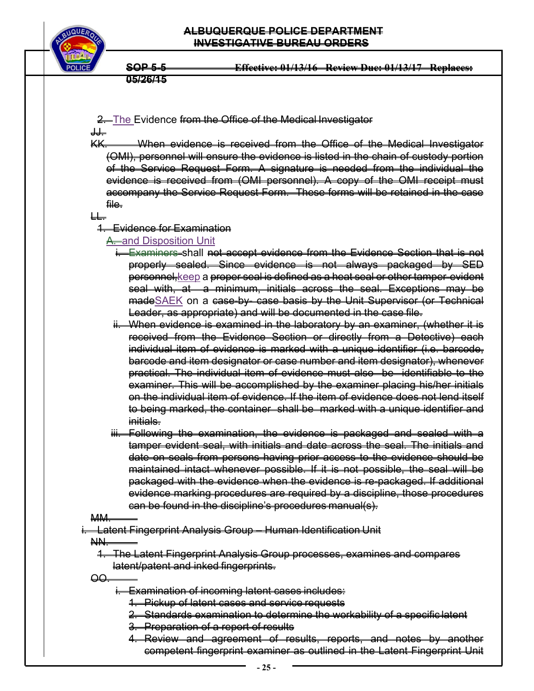

2. The Evidence from the Office of the Medical Investigator

╅╅╧

KK. When evidence is received from the Office of the Medical Investigator (OMI), personnel will ensure the evidence is listed in the chain of custody portion of the Service Request Form. A signature is needed from the individual the evidence is received from (OMI personnel). A copy of the OMI receipt must accompany the Service Request Form. These forms will be retained in the case file.

LL.

1. Evidence for Examination

## A. and Disposition Unit

- i. Examiners shall not accept evidence from the Evidence Section that is not properly sealed. Since evidence is not always packaged by SED personnel, keep a proper seal is defined as a heat seal or other tamper-evident seal with, at a minimum, initials across the seal. Exceptions may be madeSAEK on a case-by- case basis by the Unit Supervisor (or Technical Leader, as appropriate) and will be documented in the case file.
- ii. When evidence is examined in the laboratory by an examiner, (whether it is received from the Evidence Section or directly from a Detective) each individual item of evidence is marked with a unique identifier (i.e. barcode, barcode and item designator or case number and item designator), whenever practical. The individual item of evidence must also be identifiable to the examiner. This will be accomplished by the examiner placing his/her initials on the individual item of evidence. If the item of evidence does not lend itself to being marked, the container shall be marked with a unique identifier and initials.
- iii. Following the examination, the evidence is packaged and sealed with a tamper evident seal, with initials and date across the seal. The initials and date on seals from persons having prior access to the evidence should be maintained intact whenever possible. If it is not possible, the seal will be packaged with the evidence when the evidence is re-packaged. If additional evidence marking procedures are required by a discipline, those procedures can be found in the discipline's procedures manual(s).

#### MM.

**Latent Fingerprint Analysis Group – Human Identification Unit** 

NN.

- 1. The Latent Fingerprint Analysis Group processes, examines and compares latent/patent and inked fingerprints.
- $\Theta$ 
	- i. Examination of incoming latent cases includes:
		- 1. Pickup of latent cases and service requests
		- 2. Standards examination to determine the workability of a specific latent
		- 3. Preparation of a report of results
		- 4. Review and agreement of results, reports, and notes by another competent fingerprint examiner as outlined in the Latent Fingerprint Unit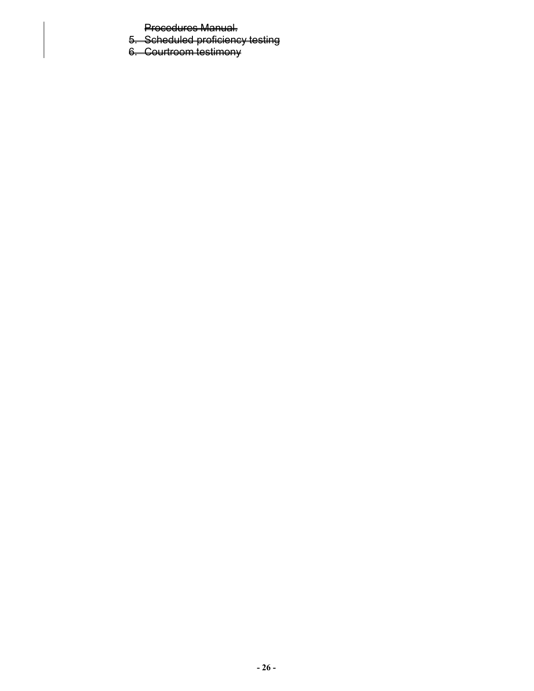Procedures Manual.

- 5. Scheduled proficiency testing
- 6. Courtroom testimony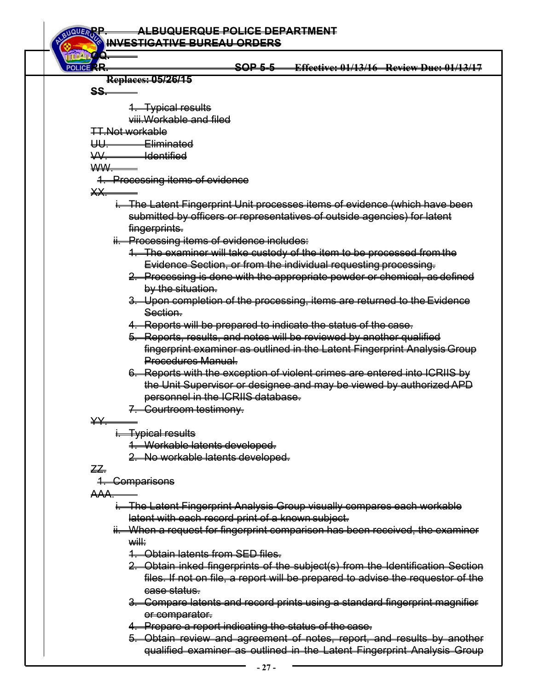**PP. ALBUQUERQUE POLICE DEPARTMENT INVESTIGATIVE BUREAU ORDERS QQ. RR. SOP 5-5 Effective: 01/13/16 Review Due: 01/13/17 Replaces: 05/26/15 SS.**  1. Typical results viii.Workable and filed TT.Not workable UU. Eliminated VV. Identified WW. 1. Processing items of evidence XX. i. The Latent Fingerprint Unit processes items of evidence (which have been submitted by officers or representatives of outside agencies) for latent fingerprints. ii. Processing items of evidence includes: 1. The examiner will take custody of the item to be processed from the Evidence Section, or from the individual requesting processing. 2. Processing is done with the appropriate powder or chemical, as defined by the situation. 3. Upon completion of the processing, items are returned to the Evidence Section. 4. Reports will be prepared to indicate the status of the case. 5. Reports, results, and notes will be reviewed by another qualified

fingerprint examiner as outlined in the Latent Fingerprint Analysis Group Procedures Manual.

6. Reports with the exception of violent crimes are entered into ICRIIS by the Unit Supervisor or designee and may be viewed by authorized APD personnel in the ICRIIS database.

7. Courtroom testimony.

YY.

Typical results

1. Workable latents developed.

2. No workable latents developed.

## ZZ.

1. Comparisons

AAA.

- i. The Latent Fingerprint Analysis Group visually compares each workable latent with each record print of a known subject.
- ii. When a request for fingerprint comparison has been received, the examiner will:
	- 1. Obtain latents from SED files.
	- 2. Obtain inked fingerprints of the subject(s) from the Identification Section files. If not on file, a report will be prepared to advise the requestor of the case status.
	- 3. Compare latents and record prints using a standard fingerprint magnifier or comparator.
	- 4. Prepare a report indicating the status of the case.
	- 5. Obtain review and agreement of notes, report, and results by another qualified examiner as outlined in the Latent Fingerprint Analysis Group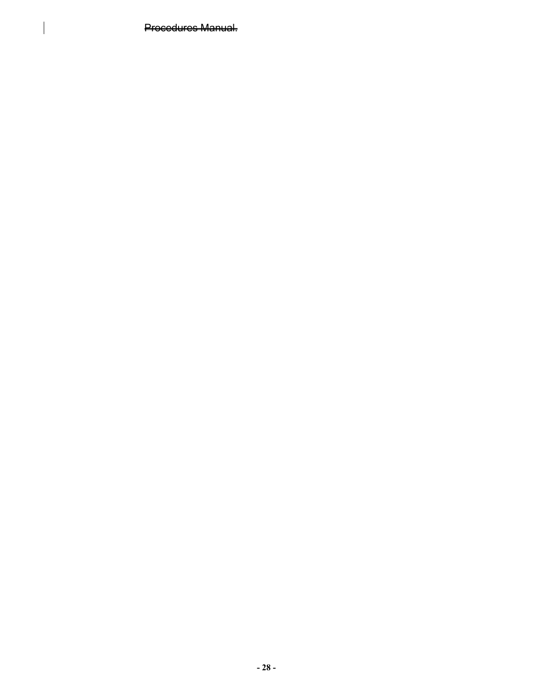Procedures Manual.

 $\vert$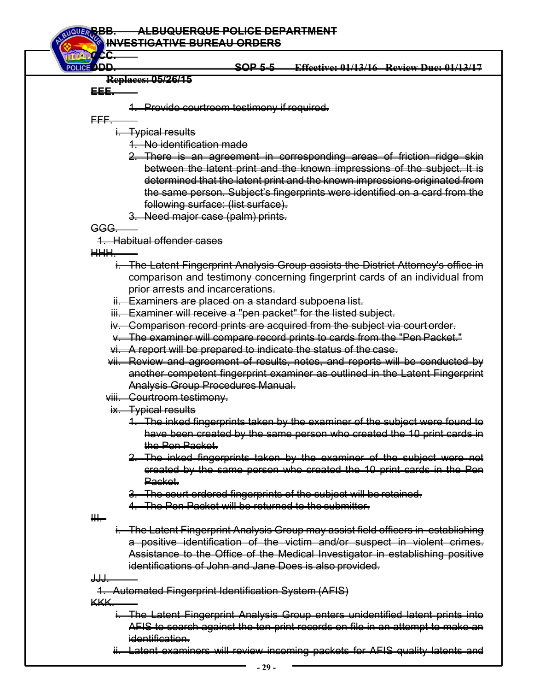| í CC                   |                                                                                    |
|------------------------|------------------------------------------------------------------------------------|
| POLICE <sup>D</sup> DD | <b>Effective: 01/13/16 Review Duc: 01/13/17</b><br>SOP 5-5                         |
|                        | <b>Replaces: 05/26/15</b>                                                          |
| EEE.                   |                                                                                    |
|                        | 1. Provide courtroom testimony if required.                                        |
| <del>FFF.</del>        |                                                                                    |
|                        | <del>i. Typical results</del>                                                      |
|                        | 1. No identification made                                                          |
|                        | 2. There is an agreement in corresponding areas of friction ridge skin             |
|                        | between the latent print and the known impressions of the subject. It is           |
|                        | determined that the latent print and the known impressions originated from         |
|                        | the same person. Subject's fingerprints were identified on a card from the         |
|                        | following surface: (list surface).                                                 |
|                        | 3. Need major case (palm) prints.                                                  |
| GGG                    |                                                                                    |
|                        | <del>1. Habitual offender cases</del>                                              |
| H                      |                                                                                    |
|                        | i. The Latent Fingerprint Analysis Group assists the District Attorney's office in |
|                        | comparison and testimony concerning fingerprint cards of an individual from        |
|                        | prior arrests and incarcerations.                                                  |
|                        | ii. Examiners are placed on a standard subpoena list.                              |
|                        | iii. Examiner will receive a "pen packet" for the listed subject.                  |
|                        | iv. Comparison record prints are acquired from the subject via court order.        |
|                        | v. The examiner will compare record prints to cards from the "Pen Packet."         |
|                        | vi. A report will be prepared to indicate the status of the case.                  |
|                        | vii. Review and agreement of results, notes, and reports will be conducted by      |
|                        | another competent fingerprint examiner as outlined in the Latent Fingerprint       |
|                        | Analysis Group Procedures Manual.                                                  |
|                        | viii. Courtroom testimony.                                                         |
|                        | ix. Typical results                                                                |
|                        | 1. The inked fingerprints taken by the examiner of the subject were found to       |
|                        | have been created by the same person who created the 10 print cards in             |
|                        | the Pen Packet.                                                                    |
|                        | 2. The inked fingerprints taken by the examiner of the subject were not            |
|                        | created by the same person who created the 10 print cards in the Pen               |
|                        | Packet.                                                                            |
|                        | 3. The court ordered fingerprints of the subject will be retained.                 |
|                        | 4. The Pen Packet will be returned to the submitter.                               |
| ₩                      |                                                                                    |
|                        | i. The Latent Fingerprint Analysis Group may assist field officers in establishing |
|                        | a positive identification of the victim and/or suspect in violent crimes.          |
|                        | Assistance to the Office of the Medical Investigator in establishing positive      |
|                        | identifications of John and Jane Does is also provided.                            |
| $\frac{1}{2}$          |                                                                                    |
|                        | 4. Automated Fingerprint Identification System (AFIS)                              |
| KKK.                   |                                                                                    |
|                        | i. The Latent Fingerprint Analysis Group enters unidentified latent prints inte    |
|                        | AFIS to search against the ten-print records on file in an attempt to make an      |
|                        | identification.                                                                    |

ii. Latent examiners will review incoming packets for AFIS quality latents and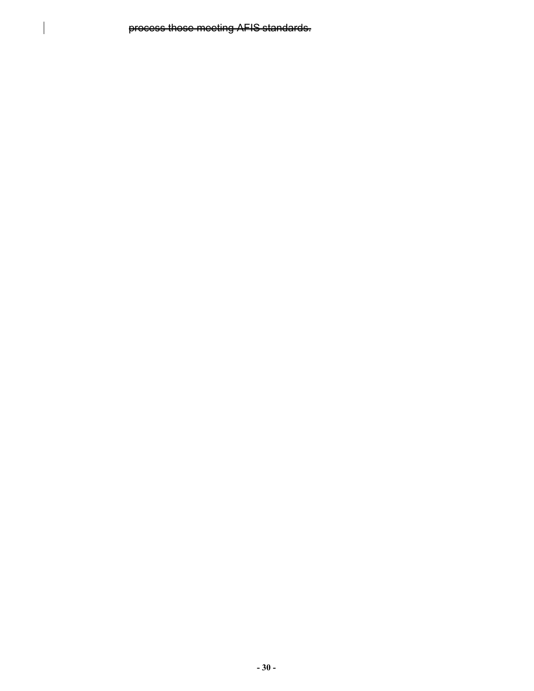process those meeting AFIS standards.

 $\overline{\phantom{a}}$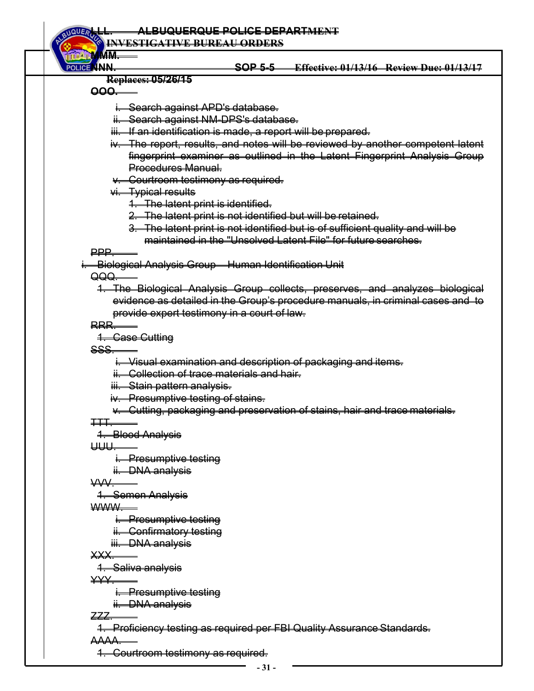**INVESTIGATIVE BUREAU ORDERS**

**NNN. SOP 5-5 Effective: 01/13/16 Review Due: 01/13/17** 

**Replaces: 05/26/15** 

**OOO.** 

**MMM.** 

- i. Search against APD's database.
- Search against NM-DPS's database.
- iii. If an identification is made, a report will be prepared.
- iv. The report, results, and notes will be reviewed by another competent latent fingerprint examiner as outlined in the Latent Fingerprint Analysis Group Procedures Manual.
- v. Courtroom testimony as required.
- vi. Typical results
	- 1. The latent print is identified.
	- 2. The latent print is not identified but will be retained.
	- 3. The latent print is not identified but is of sufficient quality and will be maintained in the "Unsolved Latent File" for future searches.

PPP.

i. Biological Analysis Group – Human Identification Unit

QQQ.

1. The Biological Analysis Group collects, preserves, and analyzes biological evidence as detailed in the Group's procedure manuals, in criminal cases and to provide expert testimony in a court of law.

RRR.

1. Case Cutting

SSS.

i. Visual examination and description of packaging and items.

ii. Collection of trace materials and hair.

iii. Stain pattern analysis.

iv. Presumptive testing of stains.

v. Cutting, packaging and preservation of stains, hair and trace materials.

TTT.

1. Blood Analysis

UUU.

i. Presumptive testing

ii. DNA analysis

 $\overline{V}$ 

1. Semen Analysis

WWW.

i. Presumptive testing

ii. Confirmatory testing

iii. DNA analysis

XXX.

1. Saliva analysis

YYY.

i. Presumptive testing

ii. DNA analysis

ZZZ.

1. Proficiency testing as required per FBI Quality Assurance Standards.

AAAA.

1. Courtroom testimony as required.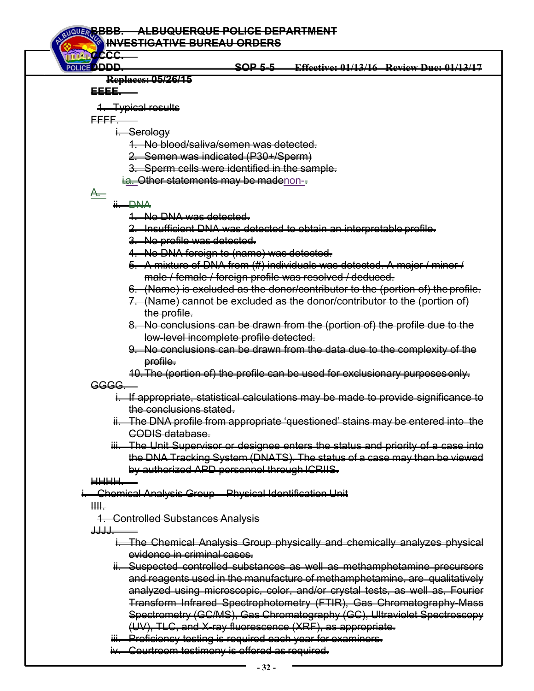**BBBB. ALBUQUERQUE POLICE DEPARTMENT INVESTIGATIVE BUREAU ORDERS CCCC. DDDD. SOP 5-5 Effective: 01/13/16 Review Due: 01/13/17 Replaces: 05/26/15 EEEE.**  1. Typical results FFFF. i<del>. Serology</del> 1. No blood/saliva/semen was detected. 2. Semen was indicated (P30+/Sperm) 3. Sperm cells were identified in the sample. i.a. Other statements may be madenon-- $\triangleq$ ii. DNA 1. No DNA was detected. 2. Insufficient DNA was detected to obtain an interpretable profile. 3. No profile was detected. 4. No DNA foreign to (name) was detected. 5. A mixture of DNA from (#) individuals was detected. A major / minor / male / female / foreign profile was resolved / deduced. 6. (Name) is excluded as the donor/contributor to the (portion of) the profile. 7. (Name) cannot be excluded as the donor/contributor to the (portion of) the profile. 8. No conclusions can be drawn from the (portion of) the profile due to the low-level incomplete profile detected. 9. No conclusions can be drawn from the data due to the complexity of the profile. 10. The (portion of) the profile can be used for exclusionary purposes only. GGGG. i. If appropriate, statistical calculations may be made to provide significance to the conclusions stated. ii. The DNA profile from appropriate 'questioned' stains may be entered into the CODIS database. iii. The Unit Supervisor or designee enters the status and priority of a case into the DNA Tracking System (DNATS). The status of a case may then be viewed by authorized APD personnel through ICRIIS. HHHH. i. Chemical Analysis Group – Physical Identification Unit  $\mathbf{H}$ 1. Controlled Substances Analysis <del>JJJJ.</del> **The Chemical Analysis Group physically and chemically analyzes physical** evidence in criminal cases. ii. Suspected controlled substances as well as methamphetamine precursors and reagents used in the manufacture of methamphetamine, are qualitatively analyzed using microscopic, color, and/or crystal tests, as well as, Fourier Transform Infrared Spectrophotometry (FTIR), Gas Chromatography-Mass Spectrometry (GC/MS), Gas Chromatography (GC), Ultraviolet Spectroscopy (UV), TLC, and X-ray fluorescence (XRF), as appropriate. iii. Proficiency testing is required each year for examiners. iv. Courtroom testimony is offered as required.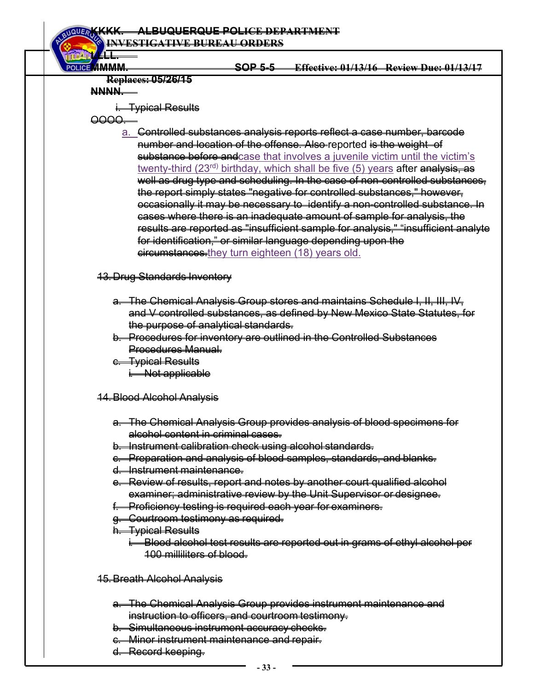## **KKKK. ALBUQUERQUE POLICE DEPARTMENT**

**INVESTIGATIVE BUREAU ORDERS**

**LLLL.** 

# **MMMM. SOP 5-5 Effective: 01/13/16 Review Due: 01/13/17**

## **Replaces: 05/26/15**

# **NNNN.**

i<del>. Typical Results</del>

OOOO.

a. Controlled substances analysis reports reflect a case number, barcode number and location of the offense. Also reported is the weight of substance before and case that involves a juvenile victim until the victim's twenty-third (23<sup>rd)</sup> birthday, which shall be five (5) years after analysis, as well as drug type and scheduling. In the case of non-controlled substances, the report simply states "negative for controlled substances," however, occasionally it may be necessary to identify a non-controlled substance. In cases where there is an inadequate amount of sample for analysis, the results are reported as "insufficient sample for analysis," "insufficient analyte for identification," or similar language depending upon the eircumstances.they turn eighteen (18) years old.

# 13. Drug Standards Inventory

- a. The Chemical Analysis Group stores and maintains Schedule I, II, III, IV, and V controlled substances, as defined by New Mexico State Statutes, for the purpose of analytical standards.
- b. Procedures for inventory are outlined in the Controlled Substances Procedures Manual.
- c. Typical Results i. Not applicable
- 14. Blood Alcohol Analysis
	- a. The Chemical Analysis Group provides analysis of blood specimens for alcohol content in criminal cases.
	- b. Instrument calibration check using alcohol standards.
	- c. Preparation and analysis of blood samples, standards, and blanks.
	- d. Instrument maintenance.
	- e. Review of results, report and notes by another court qualified alcohol examiner; administrative review by the Unit Supervisor or designee.
	- **Proficiency testing is required each year for examiners.**
	- g. Courtroom testimony as required.
	- h. Typical Results
		- i. Blood alcohol test results are reported out in grams of ethyl alcohol per 100 milliliters of blood.
- 15. Breath Alcohol Analysis
	- a. The Chemical Analysis Group provides instrument maintenance and instruction to officers, and courtroom testimony.
	- b. Simultaneous instrument accuracy checks.
	- c. Minor instrument maintenance and repair.
	- d. Record keeping.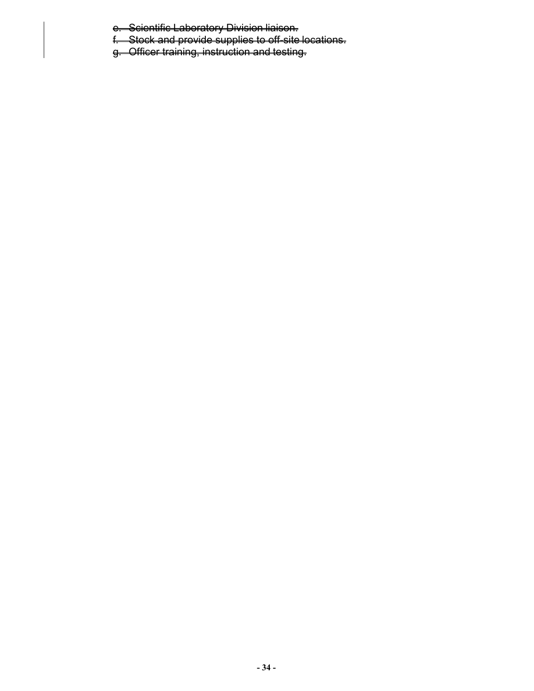e. Scientific Laboratory Division liaison.

f. Stock and provide supplies to off-site locations.

g. Officer training, instruction and testing.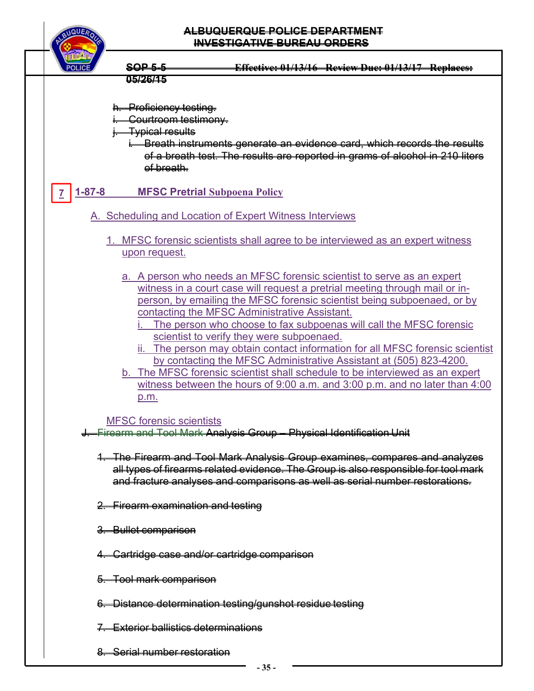

- h. Proficiency testing.
- Gourtroom testimony.
- <del>Typical results</del>
	- i. Breath instruments generate an evidence card, which records the results of a breath test. The results are reported in grams of alcohol in 210 liters of breath.

#### **1-87-8 MFSC Pretrial Subpoena Policy 7**

- A. Scheduling and Location of Expert Witness Interviews
	- 1. MFSC forensic scientists shall agree to be interviewed as an expert witness upon request.
		- a. A person who needs an MFSC forensic scientist to serve as an expert witness in a court case will request a pretrial meeting through mail or inperson, by emailing the MFSC forensic scientist being subpoenaed, or by contacting the MFSC Administrative Assistant.
			- The person who choose to fax subpoenas will call the MFSC forensic scientist to verify they were subpoenaed.
			- ii. The person may obtain contact information for all MFSC forensic scientist by contacting the MFSC Administrative Assistant at (505) 823-4200.
		- b. The MFSC forensic scientist shall schedule to be interviewed as an expert witness between the hours of 9:00 a.m. and 3:00 p.m. and no later than 4:00 p.m.

## MFSC forensic scientists

- J. Firearm and Tool Mark Analysis Group Physical Identification Unit
	- 1. The Firearm and Tool Mark Analysis Group examines, compares and analyzes all types of firearms related evidence. The Group is also responsible for tool mark and fracture analyses and comparisons as well as serial number restorations.
	- 2. Firearm examination and testing
	- 3. Bullet comparison
	- 4. Cartridge case and/or cartridge comparison
	- 5. Tool mark comparison
	- 6. Distance determination testing/gunshot residue testing
	- 7. Exterior ballistics determinations
	- 8. Serial number restoration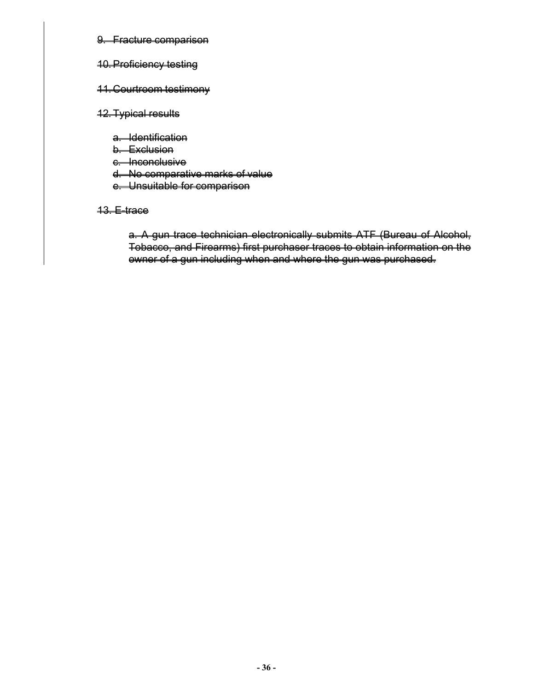#### 9. Fracture comparison

#### 10. Proficiency testing

#### 11. Courtroom testimony

#### 12. Typical results

- a. Identification
- b. Exclusion
- e. Inconclusive
- d. No comparative marks of value
- e. Unsuitable for comparison

#### 13. E-trace

a. A gun trace technician electronically submits ATF (Bureau of Alcohol, Tobacco, and Firearms) first purchaser traces to obtain information on the owner of a gun including when and where the gun was purchased.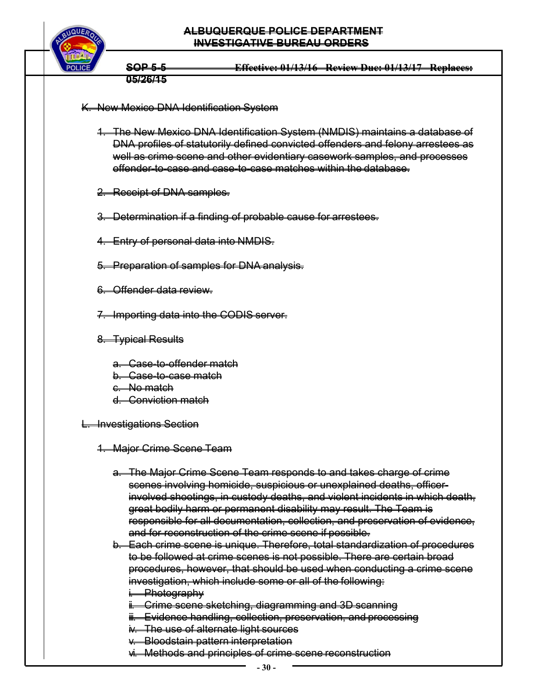

## K. New Mexico DNA Identification System

- 1. The New Mexico DNA Identification System (NMDIS) maintains a database of DNA profiles of statutorily defined convicted offenders and felony arrestees as well as crime scene and other evidentiary casework samples, and processes offender-to-case and case-to-case matches within the database.
- 2. Receipt of DNA samples.
- 3. Determination if a finding of probable cause for arrestees.
- 4. Entry of personal data into NMDIS.
- 5. Preparation of samples for DNA analysis.
- 6. Offender data review.
- 7. Importing data into the CODIS server.
- 8. Typical Results
	- a. Case-to-offender match
	- b. Case-to-case match
	- c. No match
	- d. Conviction match
- L. Investigations Section
	- 1. Major Crime Scene Team
		- a. The Major Crime Scene Team responds to and takes charge of crime scenes involving homicide, suspicious or unexplained deaths, officerinvolved shootings, in custody deaths, and violent incidents in which death, great bodily harm or permanent disability may result. The Team is responsible for all documentation, collection, and preservation of evidence, and for reconstruction of the crime scene if possible.
		- b. Each crime scene is unique. Therefore, total standardization of procedures to be followed at crime scenes is not possible. There are certain broad procedures, however, that should be used when conducting a crime scene investigation, which include some or all of the following:
			- i. Photography
			- i. Crime scene sketching, diagramming and 3D scanning
			- ii. Evidence handling, collection, preservation, and processing
			- iv. The use of alternate light sources
			- v. Bloodstain pattern interpretation
			- vi. Methods and principles of crime scene reconstruction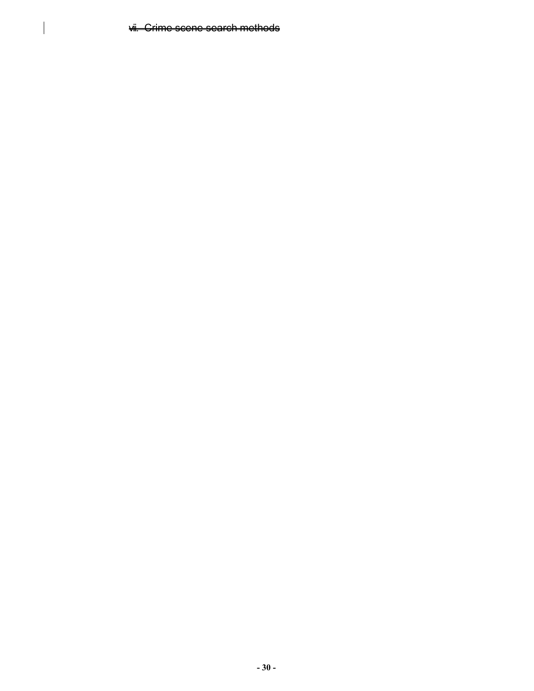vii. Crime scene search methods

 $\overline{\phantom{a}}$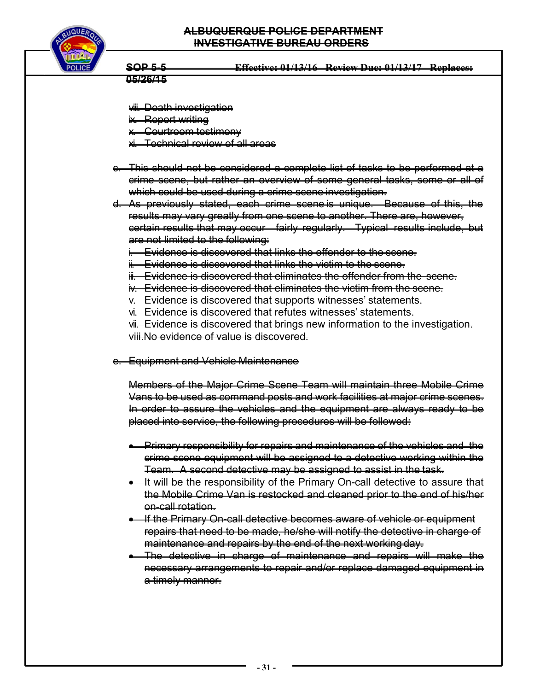

- viii. Death investigation
- ix. Report writing
- x. Courtroom testimony
- xi. Technical review of all areas
- c. This should not be considered a complete list of tasks to be performed at a crime scene, but rather an overview of some general tasks, some or all of which could be used during a crime scene investigation.
- d. As previously stated, each crime scene is unique. Because of this, the results may vary greatly from one scene to another. There are, however, certain results that may occur fairly regularly. Typical results include, but are not limited to the following:
	- i. Evidence is discovered that links the offender to the scene.
	- i. Evidence is discovered that links the victim to the scene.
	- iii. Evidence is discovered that eliminates the offender from the scene.
	- iv. Evidence is discovered that eliminates the victim from the scene.
	- v. Evidence is discovered that supports witnesses' statements.
	- vi. Evidence is discovered that refutes witnesses' statements.

vii. Evidence is discovered that brings new information to the investigation. viii.No evidence of value is discovered.

e. Equipment and Vehicle Maintenance

Members of the Major Crime Scene Team will maintain three Mobile Crime Vans to be used as command posts and work facilities at major crime scenes. In order to assure the vehicles and the equipment are always ready to be placed into service, the following procedures will be followed:

- **•** Primary responsibility for repairs and maintenance of the vehicles and the crime scene equipment will be assigned to a detective working within the Team. A second detective may be assigned to assist in the task.
- **If will be the responsibility of the Primary On-call detective to assure that** the Mobile Crime Van is restocked and cleaned prior to the end of his/her on-call rotation.
- **If the Primary On-call detective becomes aware of vehicle or equipment** repairs that need to be made, he/she will notify the detective in charge of maintenance and repairs by the end of the next working day.
- The detective in charge of maintenance and repairs will make the necessary arrangements to repair and/or replace damaged equipment in a timely manner.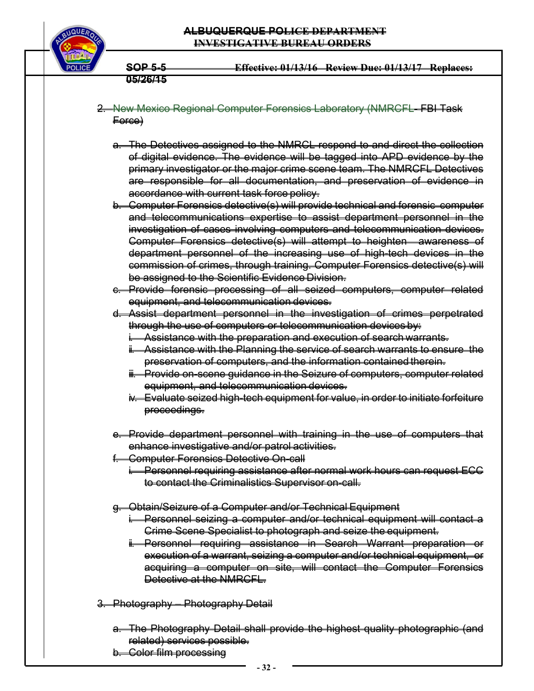

- 2. New Mexico Regional Computer Forensics Laboratory (NMRCFL- FBI Task Force)
	- a. The Detectives assigned to the NMRCL respond to and direct the collection of digital evidence. The evidence will be tagged into APD evidence by the primary investigator or the major crime scene team. The NMRCFL Detectives are responsible for all documentation, and preservation of evidence in accordance with current task force policy.
	- b. Computer Forensics detective(s) will provide technical and forensic computer and telecommunications expertise to assist department personnel in the investigation of cases involving computers and telecommunication devices. Computer Forensics detective(s) will attempt to heighten awareness of department personnel of the increasing use of high-tech devices in the commission of crimes, through training. Computer Forensics detective(s) will be assigned to the Scientific Evidence Division.
	- c. Provide forensic processing of all seized computers, computer related equipment, and telecommunication devices.
	- d. Assist department personnel in the investigation of crimes perpetrated through the use of computers or telecommunication devices by:
		- i. Assistance with the preparation and execution of search warrants.
		- Assistance with the Planning the service of search warrants to ensure the preservation of computers, and the information contained therein.
		- ii. Provide on-scene guidance in the Seizure of computers, computer related equipment, and telecommunication devices.
		- iv. Evaluate seized high-tech equipment for value, in order to initiate forfeiture proceedings.
	- e. Provide department personnel with training in the use of computers that enhance investigative and/or patrol activities.
	- f. Computer Forensics Detective On-call
		- i. Personnel requiring assistance after normal work hours can request ECC to contact the Criminalistics Supervisor on-call.
	- g. Obtain/Seizure of a Computer and/or Technical Equipment
		- i. Personnel seizing a computer and/or technical equipment will contact a Crime Scene Specialist to photograph and seize the equipment.
		- ii. Personnel requiring assistance in Search Warrant preparation execution of a warrant, seizing a computer and/or technical equipment, or acquiring a computer on site, will contact the Computer Forensics Detective at the NMRCFL
- 3. Photography Photography Detail
	- a. The Photography Detail shall provide the highest quality photographic (and related) services possible.
	- b. Color film processing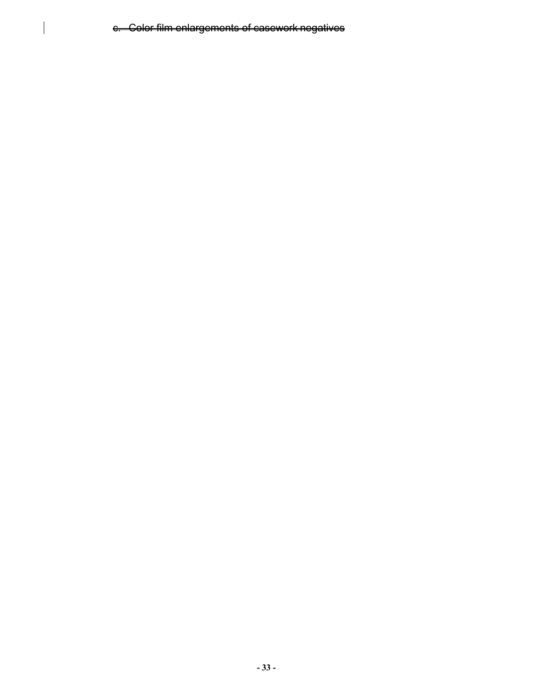c. Color film enlargements of casework negatives

 $\overline{\phantom{a}}$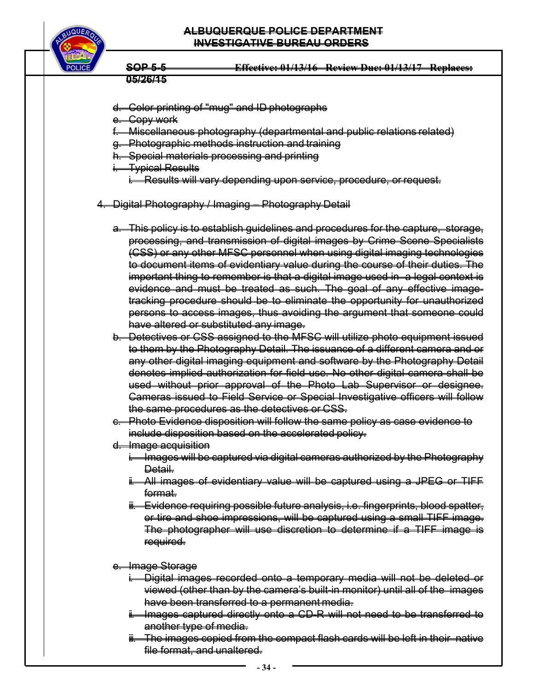

- d. Color printing of "mug" and ID photographs
- Copy work
- f. Miscellaneous photography (departmental and public relations related)
- **Photographic methods instruction and training**
- **Special materials processing and printing**
- **Typical Results** 
	- i. Results will vary depending upon service, procedure, or request.
- 4. Digital Photography / Imaging Photography Detail
	- a. This policy is to establish guidelines and procedures for the capture, storage, processing, and transmission of digital images by Crime Scene Specialists (CSS) or any other MFSC personnel when using digital imaging technologies to document items of evidentiary value during the course of their duties. The important thing to remember is that a digital image used in a legal context is evidence and must be treated as such. The goal of any effective imagetracking procedure should be to eliminate the opportunity for unauthorized persons to access images, thus avoiding the argument that someone could have altered or substituted any image.
	- b. Detectives or CSS assigned to the MFSC will utilize photo equipment issued to them by the Photography Detail. The issuance of a different camera and or any other digital imaging equipment and software by the Photography Detail denotes implied authorization for field use. No other digital camera shall be used without prior approval of the Photo Lab Supervisor or designee. Cameras issued to Field Service or Special Investigative officers will follow the same procedures as the detectives or CSS.
	- Photo Evidence disposition will follow the same policy as case evidence to include disposition based on the accelerated policy.
	- d. Image acquisition
		- i. Images will be captured via digital cameras authorized by the Photography Detail.
		- ii. All images of evidentiary value will be captured using a JPEG or TIFF format.
		- iii. Evidence requiring possible future analysis, i.e. fingerprints, blood spatter, or tire and shoe impressions, will be captured using a small TIFF image. The photographer will use discretion to determine if a TIFF image is required.
	- <del>e. Image Storage</del>
		- Digital images recorded onto a temporary media will not be deleted or viewed (other than by the camera's built-in monitor) until all of the images have been transferred to a permanent media.
		- i. Images captured directly onto a CD-R will not need to be transferred to another type of media.
		- iii. The images copied from the compact flash cards will be left in their native file format, and unaltered.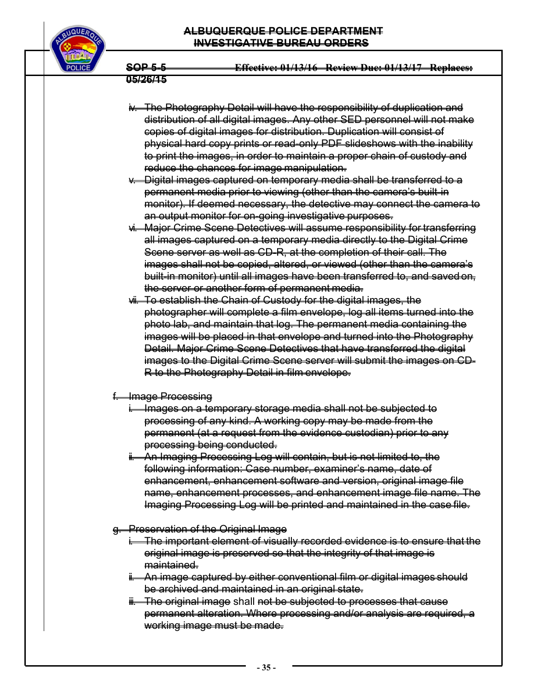## **ALBUQUERQUE POLICE DEPARTMENT INVESTIGATIVE BUREAU ORDERS**



**SOP 5-5 Effective: 01/13/16 Review Due: 01/13/17 Replaces:** 

#### **05/26/15**

- iv. The Photography Detail will have the responsibility of duplication and distribution of all digital images. Any other SED personnel will not make copies of digital images for distribution. Duplication will consist of physical hard copy prints or read-only PDF slideshows with the inability to print the images, in order to maintain a proper chain of custody and reduce the chances for image manipulation.
- v. Digital images captured on temporary media shall be transferred to a permanent media prior to viewing (other than the camera's built-in monitor). If deemed necessary, the detective may connect the camera to an output monitor for on-going investigative purposes.
- vi. Major Crime Scene Detectives will assume responsibility for transferring all images captured on a temporary media directly to the Digital Crime Scene server as well as CD-R, at the completion of their call. The images shall not be copied, altered, or viewed (other than the camera's built-in monitor) until all images have been transferred to, and saved on, the server or another form of permanent media.
- vii. To establish the Chain of Custody for the digital images, the photographer will complete a film envelope, log all items turned into the photo lab, and maintain that log. The permanent media containing the images will be placed in that envelope and turned into the Photography Detail. Major Crime Scene Detectives that have transferred the digital images to the Digital Crime Scene server will submit the images on CD-R to the Photography Detail in film envelope.

## f. Image Processing

- i. Images on a temporary storage media shall not be subjected to processing of any kind. A working copy may be made from the permanent (at a request from the evidence custodian) prior to any processing being conducted.
- ii. An Imaging Processing Log will contain, but is not limited to, the following information: Case number, examiner's name, date of enhancement, enhancement software and version, original image file name, enhancement processes, and enhancement image file name. The Imaging Processing Log will be printed and maintained in the case file.
- g. Preservation of the Original Image
	- The important element of visually recorded evidence is to ensure that the original image is preserved so that the integrity of that image is maintained.
	- ii. An image captured by either conventional film or digital images should be archived and maintained in an original state.
	- ii. The original image shall not be subjected to processes that cause permanent alteration. Where processing and/or analysis are required, a working image must be made.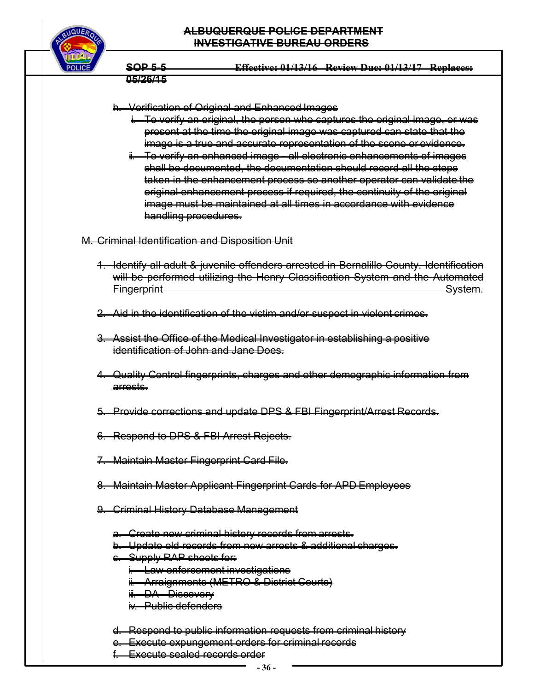

#### h. Verification of Original and Enhanced Images

- To verify an original, the person who captures the original image, or was present at the time the original image was captured can state that the image is a true and accurate representation of the scene or evidence.
- ii. To verify an enhanced image all electronic enhancements of images shall be documented, the documentation should record all the steps taken in the enhancement process so another operator can validate the original enhancement process if required, the continuity of the original image must be maintained at all times in accordance with evidence handling procedures.

M. Criminal Identification and Disposition Unit

- 1. Identify all adult & juvenile offenders arrested in Bernalillo County. Identification will be performed utilizing the Henry Classification System and the Automated Fingerprint System.
- 2. Aid in the identification of the victim and/or suspect in violent crimes.
- 3. Assist the Office of the Medical Investigator in establishing a positive identification of John and Jane Does.
- 4. Quality Control fingerprints, charges and other demographic information from arrests.
- 5. Provide corrections and update DPS & FBI Fingerprint/Arrest Records.
- 6. Respond to DPS & FBI Arrest Rejects.
- 7. Maintain Master Fingerprint Card File.
- 8. Maintain Master Applicant Fingerprint Cards for APD Employees
- 9. Criminal History Database Management
	- a. Create new criminal history records from arrests.
	- b. Update old records from new arrests & additional charges.
	- c. Supply RAP sheets for:
		- **Law enforcement investigations**
		- ii. Arraignments (METRO & District Courts)
		- iii. DA Discovery
		- iv. Public defenders
	- d. Respond to public information requests from criminal history
	- **Execute expungement orders for criminal records**
	- f. Execute sealed records order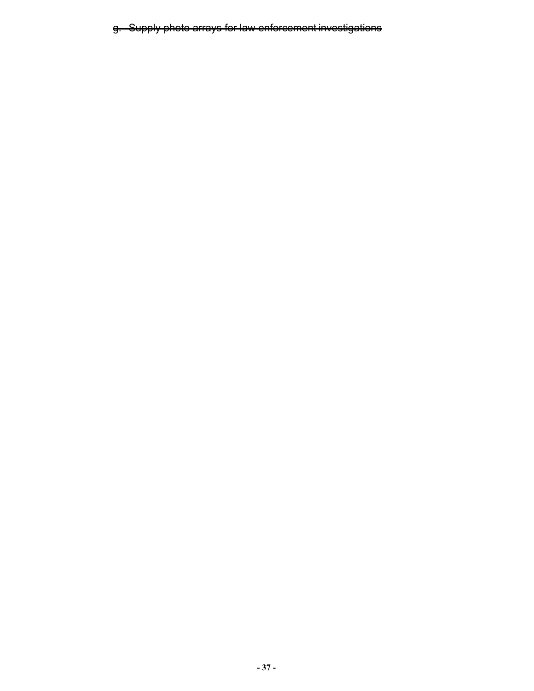g. Supply photo arrays for law enforcement investigations

 $\overline{\phantom{a}}$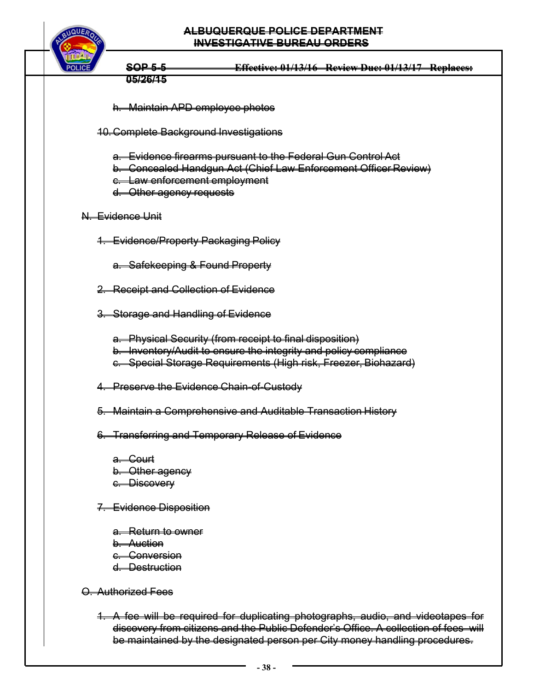

**05/26/15** 

- h. Maintain APD employee photos
- 10. Complete Background Investigations
	- a. Evidence firearms pursuant to the Federal Gun Control Act
	- b. Concealed Handgun Act (Chief Law Enforcement Officer Review)
	- c. Law enforcement employment
	- d. Other agency requests

## N. Evidence Unit

- 1. Evidence/Property Packaging Policy
	- a. Safekeeping & Found Property
- 2. Receipt and Collection of Evidence
- 3. Storage and Handling of Evidence
	- a. Physical Security (from receipt to final disposition) b. Inventory/Audit to ensure the integrity and policy compliance c. Special Storage Requirements (High risk, Freezer, Biohazard)
- 4. Preserve the Evidence Chain-of-Custody
- 5. Maintain a Comprehensive and Auditable Transaction History
- 6. Transferring and Temporary Release of Evidence
	- <del>a. Court</del> b. Other agency c. Discovery
- 7. Evidence Disposition
	- a. Return to owner b. Auction c. Conversion d. Destruction

O. Authorized Fees

1. A fee will be required for duplicating photographs, audio, and videotapes for discovery from citizens and the Public Defender's Office. A collection of fees will be maintained by the designated person per City money handling procedures.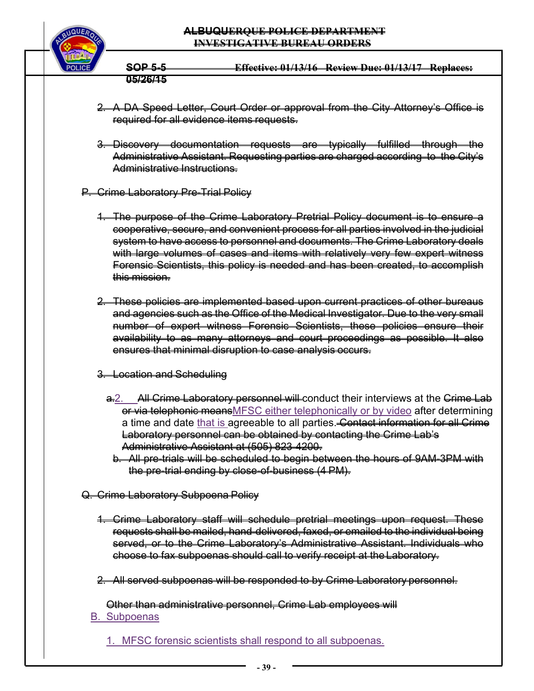## **ALBUQUERQUE POLICE DEPARTMENT INVESTIGATIVE BUREAU ORDERS**



**SOP 5-5 Effective: 01/13/16 Review Due: 01/13/17 Replaces: 05/26/15** 

- 2. A DA Speed Letter, Court Order or approval from the City Attorney's Office is required for all evidence items requests.
- 3. Discovery documentation requests are typically fulfilled through the Administrative Assistant. Requesting parties are charged according to the City's Administrative Instructions.
- P. Crime Laboratory Pre-Trial Policy
	- 1. The purpose of the Crime Laboratory Pretrial Policy document is to ensure a cooperative, secure, and convenient process for all parties involved in the judicial system to have access to personnel and documents. The Crime Laboratory deals with large volumes of cases and items with relatively very few expert witness Forensic Scientists, this policy is needed and has been created, to accomplish this mission.
	- 2. These policies are implemented based upon current practices of other bureaus and agencies such as the Office of the Medical Investigator. Due to the very small number of expert witness Forensic Scientists, these policies ensure their availability to as many attorneys and court proceedings as possible. It also ensures that minimal disruption to case analysis occurs.
	- 3. Location and Scheduling
		- a. All Crime Laboratory personnel will conduct their interviews at the Crime Lab or via telephonic means MFSC either telephonically or by video after determining a time and date that is agreeable to all parties. Contact information for all Crime Laboratory personnel can be obtained by contacting the Crime Lab's Administrative Assistant at (505) 823-4200.
			- b. All pre-trials will be scheduled to begin between the hours of 9AM-3PM with the pre-trial ending by close-of-business (4 PM).
- Q. Crime Laboratory Subpoena Policy
	- 1. Crime Laboratory staff will schedule pretrial meetings upon request. These requests shall be mailed, hand-delivered, faxed, or emailed to the individual being served, or to the Crime Laboratory's Administrative Assistant. Individuals who choose to fax subpoenas should call to verify receipt at the Laboratory.
	- 2. All served subpoenas will be responded to by Crime Laboratory personnel.

Other than administrative personnel, Crime Lab employees will

B. Subpoenas

1. MFSC forensic scientists shall respond to all subpoenas.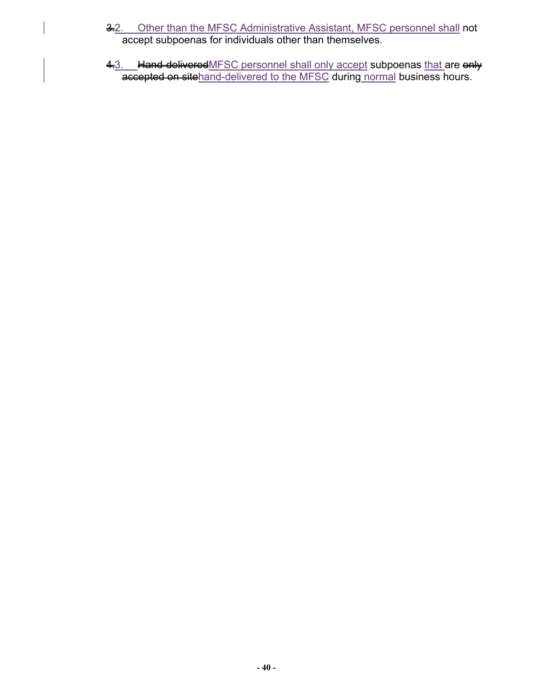- 3.2. Other than the MFSC Administrative Assistant, MFSC personnel shall not accept subpoenas for individuals other than themselves.
- 4.3. Hand-deliveredMFSC personnel shall only accept subpoenas that are enly **accepted on site**hand-delivered to the MFSC during normal business hours.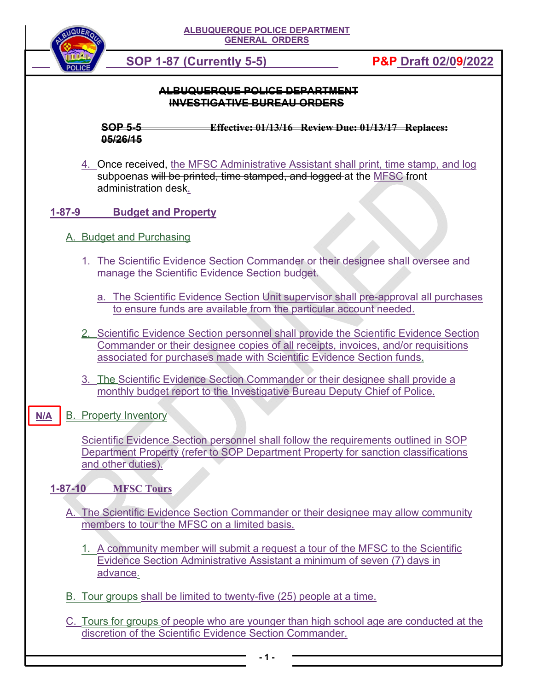